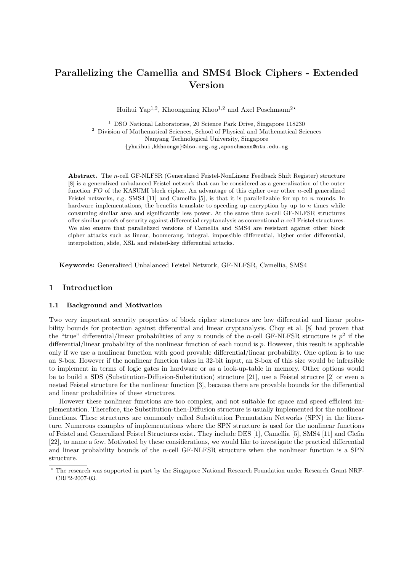# Parallelizing the Camellia and SMS4 Block Ciphers - Extended Version

Huihui Yap<sup>1,2</sup>, Khoongming Khoo<sup>1,2</sup> and Axel Poschmann<sup>2\*</sup>

<sup>1</sup> DSO National Laboratories, 20 Science Park Drive, Singapore  $118230$  $^{\rm 2}$  Division of Mathematical Sciences, School of Physical and Mathematical Sciences Nanyang Technological University, Singapore {yhuihui,kkhoongm}@dso.org.sg,aposchmann@ntu.edu.sg

Abstract. The n-cell GF-NLFSR (Generalized Feistel-NonLinear Feedback Shift Register) structure [8] is a generalized unbalanced Feistel network that can be considered as a generalization of the outer function  $FO$  of the KASUMI block cipher. An advantage of this cipher over other n-cell generalized Feistel networks, e.g. SMS4 [11] and Camellia [5], is that it is parallelizable for up to n rounds. In hardware implementations, the benefits translate to speeding up encryption by up to  $n$  times while consuming similar area and significantly less power. At the same time  $n$ -cell GF-NLFSR structures offer similar proofs of security against differential cryptanalysis as conventional n-cell Feistel structures. We also ensure that parallelized versions of Camellia and SMS4 are resistant against other block cipher attacks such as linear, boomerang, integral, impossible differential, higher order differential, interpolation, slide, XSL and related-key differential attacks.

Keywords: Generalized Unbalanced Feistel Network, GF-NLFSR, Camellia, SMS4

## 1 Introduction

### 1.1 Background and Motivation

Two very important security properties of block cipher structures are low differential and linear probability bounds for protection against differential and linear cryptanalysis. Choy et al. [8] had proven that the "true" differential/linear probabilities of any n rounds of the n-cell GF-NLFSR structure is  $p^2$  if the differential/linear probability of the nonlinear function of each round is  $p$ . However, this result is applicable only if we use a nonlinear function with good provable differential/linear probability. One option is to use an S-box. However if the nonlinear function takes in 32-bit input, an S-box of this size would be infeasible to implement in terms of logic gates in hardware or as a look-up-table in memory. Other options would be to build a SDS (Substitution-Diffusion-Substitution) structure [21], use a Feistel structre [2] or even a nested Feistel structure for the nonlinear function [3], because there are provable bounds for the differential and linear probabilities of these structures.

However these nonlinear functions are too complex, and not suitable for space and speed efficient implementation. Therefore, the Substitution-then-Diffusion structure is usually implemented for the nonlinear functions. These structures are commonly called Substitution Permutation Networks (SPN) in the literature. Numerous examples of implementations where the SPN structure is used for the nonlinear functions of Feistel and Generalized Feistel Structures exist. They include DES [1], Camellia [5], SMS4 [11] and Clefia [22], to name a few. Motivated by these considerations, we would like to investigate the practical differential and linear probability bounds of the n-cell GF-NLFSR structure when the nonlinear function is a SPN structure.

The research was supported in part by the Singapore National Research Foundation under Research Grant NRF-CRP2-2007-03.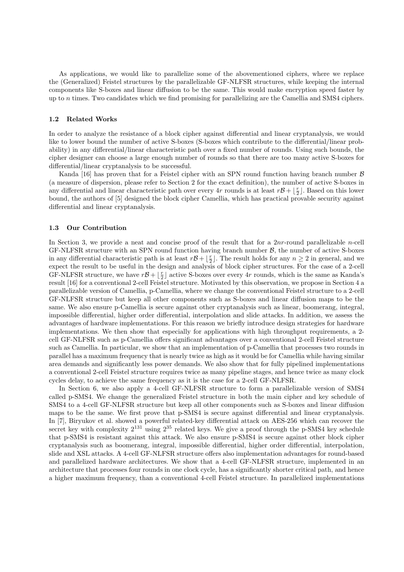As applications, we would like to parallelize some of the abovementioned ciphers, where we replace the (Generalized) Feistel structures by the parallelizable GF-NLFSR structures, while keeping the internal components like S-boxes and linear diffusion to be the same. This would make encryption speed faster by up to n times. Two candidates which we find promising for parallelizing are the Camellia and SMS4 ciphers.

## 1.2 Related Works

In order to analyze the resistance of a block cipher against differential and linear cryptanalysis, we would like to lower bound the number of active S-boxes (S-boxes which contribute to the differential/linear probability) in any differential/linear characteristic path over a fixed number of rounds. Using such bounds, the cipher designer can choose a large enough number of rounds so that there are too many active S-boxes for differential/linear cryptanalysis to be successful.

Kanda [16] has proven that for a Feistel cipher with an SPN round function having branch number  $\beta$ (a measure of dispersion, please refer to Section 2 for the exact definition), the number of active S-boxes in any differential and linear characteristic path over every 4r rounds is at least  $r\mathcal{B} + \lfloor \frac{r}{2} \rfloor$ . Based on this lower bound, the authors of [5] designed the block cipher Camellia, which has practical provable security against differential and linear cryptanalysis.

### 1.3 Our Contribution

In Section 3, we provide a neat and concise proof of the result that for a 2nr-round parallelizable n-cell GF-NLFSR structure with an SPN round function having branch number  $\beta$ , the number of active S-boxes in any differential characteristic path is at least  $r\mathcal{B} + \lfloor \frac{r}{2} \rfloor$ . The result holds for any  $n \geq 2$  in general, and we expect the result to be useful in the design and analysis of block cipher structures. For the case of a 2-cell GF-NLFSR structure, we have  $r\mathcal{B} + \lfloor \frac{r}{2} \rfloor$  active S-boxes over every 4r rounds, which is the same as Kanda's result [16] for a conventional 2-cell Feistel structure. Motivated by this observation, we propose in Section 4 a parallelizable version of Camellia, p-Camellia, where we change the conventional Feistel structure to a 2-cell GF-NLFSR structure but keep all other components such as S-boxes and linear diffusion maps to be the same. We also ensure p-Camellia is secure against other cryptanalysis such as linear, boomerang, integral, impossible differential, higher order differential, interpolation and slide attacks. In addition, we assess the advantages of hardware implementations. For this reason we briefly introduce design strategies for hardware implementations. We then show that especially for applications with high throughput requirements, a 2 cell GF-NLFSR such as p-Camellia offers significant advantages over a conventional 2-cell Feistel structure such as Camellia. In particular, we show that an implementation of p-Camellia that processes two rounds in parallel has a maximum frequency that is nearly twice as high as it would be for Camellia while having similar area demands and significantly less power demands. We also show that for fully pipelined implementations a conventional 2-cell Feistel structure requires twice as many pipeline stages, and hence twice as many clock cycles delay, to achieve the same frequency as it is the case for a 2-cell GF-NLFSR.

In Section 6, we also apply a 4-cell GF-NLFSR structure to form a parallelizable version of SMS4 called p-SMS4. We change the generalized Feistel structure in both the main cipher and key schedule of SMS4 to a 4-cell GF-NLFSR structure but keep all other components such as S-boxes and linear diffusion maps to be the same. We first prove that p-SMS4 is secure against differential and linear cryptanalysis. In [7], Biryukov et al. showed a powerful related-key differential attack on AES-256 which can recover the secret key with complexity  $2^{131}$  using  $2^{35}$  related keys. We give a proof through the p-SMS4 key schedule that p-SMS4 is resistant against this attack. We also ensure p-SMS4 is secure against other block cipher cryptanalysis such as boomerang, integral, impossible differential, higher order differential, interpolation, slide and XSL attacks. A 4-cell GF-NLFSR structure offers also implementation advantages for round-based and parallelized hardware architectures. We show that a 4-cell GF-NLFSR structure, implemented in an architecture that processes four rounds in one clock cycle, has a significantly shorter critical path, and hence a higher maximum frequency, than a conventional 4-cell Feistel structure. In parallelized implementations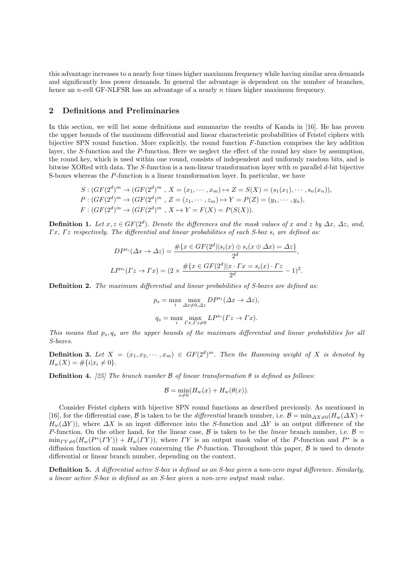this advantage increases to a nearly four times higher maximum frequency while having similar area demands and significantly less power demands. In general the advantage is dependent on the number of branches, hence an *n*-cell GF-NLFSR has an advantage of a nearly *n* times higher maximum frequency.

## 2 Definitions and Preliminaries

In this section, we will list some definitions and summarize the results of Kanda in [16]. He has proven the upper bounds of the maximum differential and linear characteristic probabilities of Feistel ciphers with bijective SPN round function. More explicitly, the round function F-function comprises the key addition layer, the S-function and the P-function. Here we neglect the effect of the round key since by assumption, the round key, which is used within one round, consists of independent and uniformly random bits, and is bitwise XORed with data. The S-function is a non-linear transformation layer with m parallel d-bit bijective S-boxes whereas the P-function is a linear transformation layer. In particular, we have

$$
S: (GF(2d)m \to (GF(2d)m, X = (x1,..., xm) \to Z = S(X) = (s1(x1),..., sn(xn)),
$$
  
\n
$$
P: (GF(2d)m \to (GF(2d)m, Z = (z1,..., zm) \to Y = P(Z) = (y1,..., yn),
$$
  
\n
$$
F: (GF(2d)m \to (GF(2d)m, X \mapsto Y = F(X) = P(S(X)).
$$

**Definition 1.** Let  $x, z \in GF(2^d)$ . Denote the differences and the mask values of x and z by  $\Delta x$ ,  $\Delta z$ , and,  $\Gamma x$ ,  $\Gamma z$  respectively. The differential and linear probabilities of each S-box  $s_i$  are defined as:

$$
DP^{s_i}(\Delta x \to \Delta z) = \frac{\#\{x \in GF(2^d)|s_i(x) \oplus s_i(x \oplus \Delta x) = \Delta z\}}{2^d},
$$
  

$$
LP^{s_i}(\Gamma z \to \Gamma x) = (2 \times \frac{\#\{x \in GF(2^d)|x \cdot \Gamma x = s_i(x) \cdot \Gamma z}{2^d} - 1)^2.
$$

Definition 2. The maximum differential and linear probabilities of S-boxes are defined as:

$$
p_s = \max_i \max_{\Delta x \neq 0, \Delta z} DP^{s_i}(\Delta x \to \Delta z),
$$
  

$$
q_s = \max_i \max_{\Gamma x, \Gamma z \neq 0} LP^{s_i}(\Gamma z \to \Gamma x).
$$

This means that  $p_s, q_s$  are the upper bounds of the maximum differential and linear probabilities for all S-boxes.

**Definition 3.** Let  $X = (x_1, x_2, \dots, x_m) \in GF(2^d)^m$ . Then the Hamming weight of X is denoted by  $H_w(X) = \#\{i | x_i \neq 0\}.$ 

**Definition 4.** [25] The branch number B of linear transformation  $\theta$  is defined as follows:

$$
\mathcal{B} = \min_{x \neq 0} (H_w(x) + H_w(\theta(x)).
$$

Consider Feistel ciphers with bijective SPN round functions as described previously. As mentioned in [16], for the differential case, B is taken to be the *differential* branch number, i.e. B = min<sub>△X≠0</sub>( $H_w(\Delta X)$  +  $H_w(\Delta Y)$ , where  $\Delta X$  is an input difference into the S-function and  $\Delta Y$  is an output difference of the P-function. On the other hand, for the linear case,  $\beta$  is taken to be the *linear* branch number, i.e.  $\beta =$  $\min_{\Gamma Y \neq 0} (H_w(P^*(\Gamma Y)) + H_w(\Gamma Y))$ , where  $\Gamma Y$  is an output mask value of the P-function and  $P^*$  is a diffusion function of mask values concerning the P-function. Throughout this paper,  $\beta$  is used to denote differential or linear branch number, depending on the context.

Definition 5. A differential active S-box is defined as an S-box given a non-zero input difference. Similarly, a linear active S-box is defined as an S-box given a non-zero output mask value.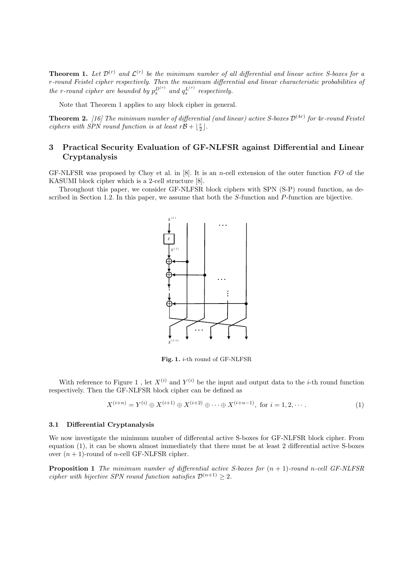**Theorem 1.** Let  $\mathcal{D}^{(r)}$  and  $\mathcal{L}^{(r)}$  be the minimum number of all differential and linear active S-boxes for a r-round Feistel cipher respectively. Then the maximum differential and linear characteristic probabilities of the r-round cipher are bounded by  $p_s^{D^{(r)}}$  and  $q_s^{L^{(r)}}$  $s^{L^{(1)}}$  respectively.

Note that Theorem 1 applies to any block cipher in general.

**Theorem 2.** [16] The minimum number of differential (and linear) active S-boxes  $\mathcal{D}^{(4r)}$  for  $4r$ -round Feistel ciphers with SPN round function is at least  $r\mathcal{B} + \lfloor \frac{r}{2} \rfloor$ .

## 3 Practical Security Evaluation of GF-NLFSR against Differential and Linear Cryptanalysis

GF-NLFSR was proposed by Choy et al. in  $[8]$ . It is an *n*-cell extension of the outer function FO of the KASUMI block cipher which is a 2-cell structure [8].

Throughout this paper, we consider GF-NLFSR block ciphers with SPN (S-P) round function, as described in Section 1.2. In this paper, we assume that both the S-function and P-function are bijective.



Fig. 1. i-th round of GF-NLFSR

With reference to Figure 1, let  $X^{(i)}$  and  $Y^{(i)}$  be the input and output data to the *i*-th round function respectively. Then the GF-NLFSR block cipher can be defined as

$$
X^{(i+n)} = Y^{(i)} \oplus X^{(i+1)} \oplus X^{(i+2)} \oplus \cdots \oplus X^{(i+n-1)}, \text{ for } i = 1, 2, \cdots.
$$
 (1)

#### 3.1 Differential Cryptanalysis

We now investigate the minimum number of differental active S-boxes for GF-NLFSR block cipher. From equation (1), it can be shown almost immediately that there must be at least 2 differential active S-boxes over  $(n + 1)$ -round of *n*-cell GF-NLFSR cipher.

**Proposition 1** The minimum number of differential active S-boxes for  $(n + 1)$ -round n-cell GF-NLFSR cipher with bijective SPN round function satisfies  $\mathcal{D}^{(n+1)} > 2$ .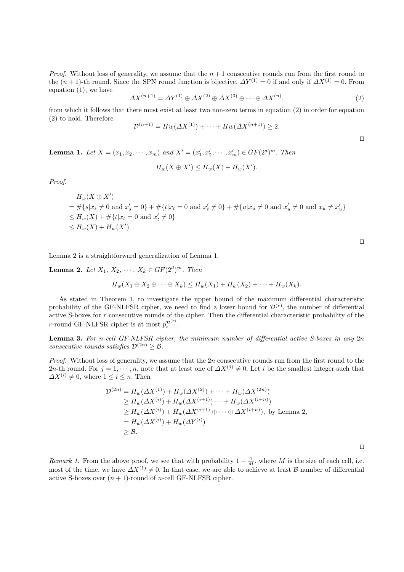*Proof.* Without loss of generality, we assume that the  $n + 1$  consecutive rounds run from the first round to the  $(n + 1)$ -th round. Since the SPN round function is bijective,  $\Delta Y^{(1)} = 0$  if and only if  $\Delta X^{(1)} = 0$ . From equation (1), we have

$$
\Delta X^{(n+1)} = \Delta Y^{(1)} \oplus \Delta X^{(2)} \oplus \Delta X^{(3)} \oplus \cdots \oplus \Delta X^{(n)},\tag{2}
$$

from which it follows that there must exist at least two non-zero terms in equation (2) in order for equation (2) to hold. Therefore

$$
\mathcal{D}^{(n+1)} = Hw(\Delta X^{(1)}) + \dots + Hw(\Delta X^{(n+1)}) \ge 2.
$$

**Lemma 1.** Let  $X = (x_1, x_2, \dots, x_m)$  and  $X' = (x'_1, x'_2, \dots, x'_m) \in GF(2^d)^m$ . Then  $H_w(X \oplus X') \le H_w(X) + H_w(X').$ 

Proof.

$$
H_w(X \oplus X')
$$
  
=  $\#\{s|x_s \neq 0 \text{ and } x'_s = 0\} + \#\{t|x_t = 0 \text{ and } x'_t \neq 0\} + \#\{u|x_u \neq 0 \text{ and } x'_u \neq 0 \text{ and } x_u \neq x'_u\}$   
 $\leq H_w(X) + \#\{t|x_t = 0 \text{ and } x'_t \neq 0\}$   
 $\leq H_w(X) + H_w(X')$ 

⊓⊔

Lemma 2 is a straightforward generalization of Lemma 1.

**Lemma 2.** Let  $X_1, X_2, \cdots, X_k \in GF(2^d)^m$ . Then

$$
H_w(X_1 \oplus X_2 \oplus \cdots \oplus X_k) \le H_w(X_1) + H_w(X_2) + \cdots + H_w(X_k).
$$

As stated in Theorem 1, to investigate the upper bound of the maximum differential characteristic probability of the GF-NLFSR cipher, we need to find a lower bound for  $\mathcal{D}^{(r)}$ , the number of differential active S-boxes for r consecutive rounds of the cipher. Then the differential characteristic probability of the r-round GF-NLFSR cipher is at most  $p_s^{\mathcal{D}^{(r)}}$ .

**Lemma 3.** For n-cell GF-NLFSR cipher, the minimum number of differential active S-boxes in any  $2n$ consecutive rounds satisfies  $\mathcal{D}^{(2n)} \geq \mathcal{B}$ .

*Proof.* Without loss of generality, we assume that the  $2n$  consecutive rounds run from the first round to the 2n-th round. For  $j = 1, \dots, n$ , note that at least one of  $\Delta X^{(j)} \neq 0$ . Let i be the smallest integer such that  $\Delta X^{(i)} \neq 0$ , where  $1 \leq i \leq n$ . Then

$$
\mathcal{D}^{(2n)} = H_w(\Delta X^{(1)}) + H_w(\Delta X^{(2)}) + \cdots + H_w(\Delta X^{(2n)})
$$
  
\n
$$
\geq H_w(\Delta X^{(i)}) + H_w(\Delta X^{(i+1)}) \cdots + H_w(\Delta X^{(i+n)})
$$
  
\n
$$
\geq H_w(\Delta X^{(i)}) + H_w(\Delta X^{(i+1)} \oplus \cdots \oplus \Delta X^{(i+n)}), \text{ by Lemma 2,}
$$
  
\n
$$
= H_w(\Delta X^{(i)}) + H_w(\Delta Y^{(i)})
$$
  
\n
$$
\geq \mathcal{B}.
$$

⊓⊔

Remark 1. From the above proof, we see that with probability  $1 - \frac{1}{M}$ , where M is the size of each cell, i.e. most of the time, we have  $\Delta X^{(1)} \neq 0$ . In that case, we are able to achieve at least B number of differential active S-boxes over  $(n + 1)$ -round of *n*-cell GF-NLFSR cipher.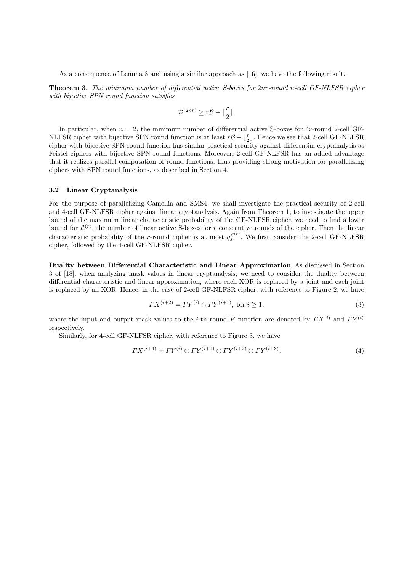As a consequence of Lemma 3 and using a similar approach as [16], we have the following result.

Theorem 3. The minimum number of differential active S-boxes for 2nr-round n-cell GF-NLFSR cipher with bijective SPN round function satisfies

$$
\mathcal{D}^{(2nr)} \ge r\mathcal{B} + \lfloor \frac{r}{2} \rfloor.
$$

In particular, when  $n = 2$ , the minimum number of differential active S-boxes for 4r-round 2-cell GF-NLFSR cipher with bijective SPN round function is at least  $r\mathcal{B} + \lfloor \frac{r}{2} \rfloor$ . Hence we see that 2-cell GF-NLFSR cipher with bijective SPN round function has similar practical security against differential cryptanalysis as Feistel ciphers with bijective SPN round functions. Moreover, 2-cell GF-NLFSR has an added advantage that it realizes parallel computation of round functions, thus providing strong motivation for parallelizing ciphers with SPN round functions, as described in Section 4.

### 3.2 Linear Cryptanalysis

For the purpose of parallelizing Camellia and SMS4, we shall investigate the practical security of 2-cell and 4-cell GF-NLFSR cipher against linear cryptanalysis. Again from Theorem 1, to investigate the upper bound of the maximum linear characteristic probability of the GF-NLFSR cipher, we need to find a lower bound for  $\mathcal{L}^{(r)}$ , the number of linear active S-boxes for r consecutive rounds of the cipher. Then the linear characteristic probability of the r-round cipher is at most  $q_s^{\mathcal{L}^{(r)}}$  $\frac{\mathcal{L}^{(1)}}{s}$ . We first consider the 2-cell GF-NLFSR cipher, followed by the 4-cell GF-NLFSR cipher.

Duality between Differential Characteristic and Linear Approximation As discussed in Section 3 of [18], when analyzing mask values in linear cryptanalysis, we need to consider the duality between differential characteristic and linear approximation, where each XOR is replaced by a joint and each joint is replaced by an XOR. Hence, in the case of 2-cell GF-NLFSR cipher, with reference to Figure 2, we have

$$
\Gamma X^{(i+2)} = \Gamma Y^{(i)} \oplus \Gamma Y^{(i+1)}, \text{ for } i \ge 1,
$$
\n(3)

where the input and output mask values to the *i*-th round F function are denoted by  $TX^{(i)}$  and  $TY^{(i)}$ respectively.

Similarly, for 4-cell GF-NLFSR cipher, with reference to Figure 3, we have

$$
\Gamma X^{(i+4)} = \Gamma Y^{(i)} \oplus \Gamma Y^{(i+1)} \oplus \Gamma Y^{(i+2)} \oplus \Gamma Y^{(i+3)}.\tag{4}
$$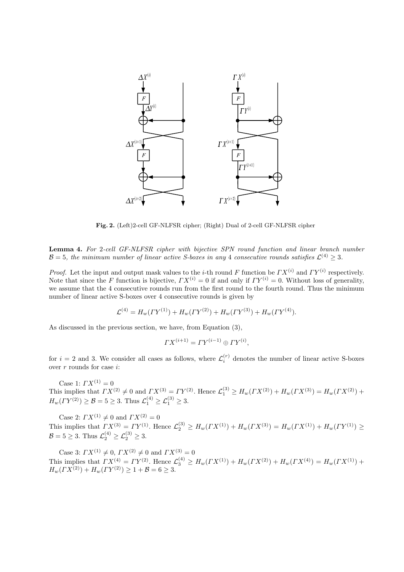

Fig. 2. (Left)2-cell GF-NLFSR cipher; (Right) Dual of 2-cell GF-NLFSR cipher

Lemma 4. For 2-cell GF-NLFSR cipher with bijective SPN round function and linear branch number  $\mathcal{B}=5$ , the minimum number of linear active S-boxes in any 4 consecutive rounds satisfies  $\mathcal{L}^{(4)} \geq 3$ .

*Proof.* Let the input and output mask values to the *i*-th round F function be  $\Gamma X^{(i)}$  and  $\Gamma Y^{(i)}$  respectively. Note that since the F function is bijective,  $\Gamma X^{(i)} = 0$  if and only if  $\Gamma Y^{(i)} = 0$ . Without loss of generality, we assume that the 4 consecutive rounds run from the first round to the fourth round. Thus the minimum number of linear active S-boxes over 4 consecutive rounds is given by

$$
\mathcal{L}^{(4)} = H_w(\Gamma Y^{(1)}) + H_w(\Gamma Y^{(2)}) + H_w(\Gamma Y^{(3)}) + H_w(\Gamma Y^{(4)}).
$$

As discussed in the previous section, we have, from Equation (3),

$$
\Gamma X^{(i+1)} = \Gamma Y^{(i-1)} \oplus \Gamma Y^{(i)},
$$

for  $i = 2$  and 3. We consider all cases as follows, where  $\mathcal{L}_i^{(r)}$  denotes the number of linear active S-boxes over  $r$  rounds for case  $i$ :

Case 1:  $\Gamma X^{(1)} = 0$ This implies that  $\Gamma X^{(2)} \neq 0$  and  $\Gamma X^{(3)} = \Gamma Y^{(2)}$ . Hence  $\mathcal{L}_1^{(3)} \geq H_w(\Gamma X^{(2)}) + H_w(\Gamma X^{(3)}) = H_w(\Gamma X^{(2)}) +$  $H_w(\Gamma Y^{(2)}) \geq B = 5 \geq 3$ . Thus  $\mathcal{L}_1^{(4)} \geq \mathcal{L}_1^{(3)} \geq 3$ .

Case 2:  $\Gamma X^{(1)} \neq 0$  and  $\Gamma X^{(2)} = 0$ This implies that  $\Gamma X^{(3)} = \Gamma Y^{(1)}$ . Hence  $\mathcal{L}_2^{(3)} \ge H_w(\Gamma X^{(1)}) + H_w(\Gamma X^{(3)}) = H_w(\Gamma X^{(1)}) + H_w(\Gamma Y^{(1)}) \ge$  $\mathcal{B} = 5 \geq 3$ . Thus  $\mathcal{L}_2^{(4)} \geq \mathcal{L}_2^{(3)} \geq 3$ .

Case 3:  $\Gamma X^{(1)} \neq 0$ ,  $\Gamma X^{(2)} \neq 0$  and  $\Gamma X^{(3)} = 0$ This implies that  $\Gamma X^{(4)} = \Gamma Y^{(2)}$ . Hence  $\mathcal{L}_3^{(4)} \geq H_w(\Gamma X^{(1)}) + H_w(\Gamma X^{(2)}) + H_w(\Gamma X^{(4)}) = H_w(\Gamma X^{(1)}) +$  $H_w(TX^{(2)}) + H_w(TY^{(2)}) \geq 1 + \mathcal{B} = 6 \geq 3.$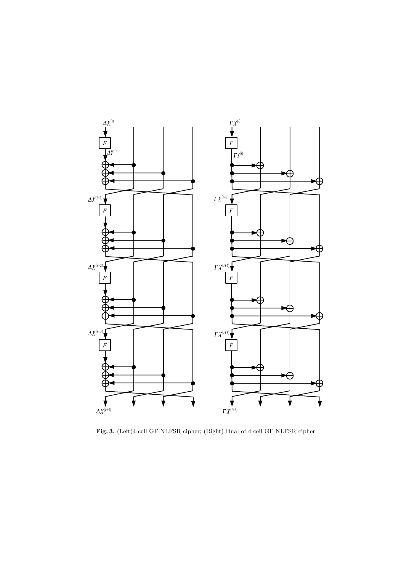

Fig. 3. (Left)4-cell GF-NLFSR cipher; (Right) Dual of 4-cell GF-NLFSR cipher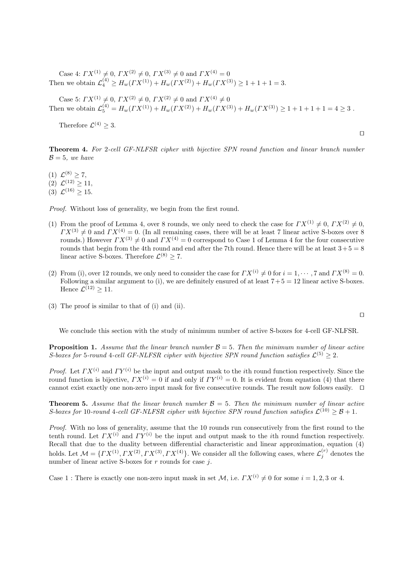Case 4:  $\Gamma X^{(1)} \neq 0$ ,  $\Gamma X^{(2)} \neq 0$ ,  $\Gamma X^{(3)} \neq 0$  and  $\Gamma X^{(4)} = 0$ Then we obtain  $\mathcal{L}_4^{(4)} \ge H_w(\Gamma X^{(1)}) + H_w(\Gamma X^{(2)}) + H_w(\Gamma X^{(3)}) \ge 1 + 1 + 1 = 3.$ 

Case 5:  $\Gamma X^{(1)} \neq 0$ ,  $\Gamma X^{(2)} \neq 0$ ,  $\Gamma X^{(2)} \neq 0$  and  $\Gamma X^{(4)} \neq 0$ Then we obtain  $\mathcal{L}_5^{(4)} = H_w(\Gamma X^{(1)}) + H_w(\Gamma X^{(2)}) + H_w(\Gamma X^{(3)}) + H_w(\Gamma X^{(3)}) \ge 1 + 1 + 1 + 1 = 4 \ge 3$ .

Therefore  $\mathcal{L}^{(4)} \geq 3$ .

Theorem 4. For 2-cell GF-NLFSR cipher with bijective SPN round function and linear branch number  $\mathcal{B}=5$ , we have

(1)  $\mathcal{L}^{(8)} \geq 7$ , (2)  $\mathcal{L}^{(12)} \geq 11$ ,

(3)  $\mathcal{L}^{(16)} \geq 15$ .

Proof. Without loss of generality, we begin from the first round.

- (1) From the proof of Lemma 4, over 8 rounds, we only need to check the case for  $\Gamma X^{(1)} \neq 0$ ,  $\Gamma X^{(2)} \neq 0$ ,  $\Gamma X^{(3)} \neq 0$  and  $\Gamma X^{(4)} = 0$ . (In all remaining cases, there will be at least 7 linear active S-boxes over 8 rounds.) However  $\Gamma X^{(3)} \neq 0$  and  $\Gamma X^{(4)} = 0$  correspond to Case 1 of Lemma 4 for the four consecutive rounds that begin from the 4th round and end after the 7th round. Hence there will be at least  $3+5=8$ linear active S-boxes. Therefore  $\mathcal{L}^{(8)} \geq 7$ .
- (2) From (i), over 12 rounds, we only need to consider the case for  $\Gamma X^{(i)} \neq 0$  for  $i = 1, \dots, 7$  and  $\Gamma X^{(8)} = 0$ . Following a similar argument to (i), we are definitely ensured of at least  $7+5=12$  linear active S-boxes. Hence  $\mathcal{L}^{(12)} \geq 11$ .
- (3) The proof is similar to that of (i) and (ii).

We conclude this section with the study of minimum number of active S-boxes for 4-cell GF-NLFSR.

**Proposition 1.** Assume that the linear branch number  $\mathcal{B} = 5$ . Then the minimum number of linear active S-boxes for 5-round 4-cell GF-NLFSR cipher with bijective SPN round function satisfies  $\mathcal{L}^{(5)} \geq 2$ .

*Proof.* Let  $\Gamma X^{(i)}$  and  $\Gamma Y^{(i)}$  be the input and output mask to the *i*th round function respectively. Since the round function is bijective,  $\Gamma X^{(i)} = 0$  if and only if  $\Gamma Y^{(i)} = 0$ . It is evident from equation (4) that there cannot exist exactly one non-zero input mask for five consecutive rounds. The result now follows easily. ⊓⊔

**Theorem 5.** Assume that the linear branch number  $\mathcal{B} = 5$ . Then the minimum number of linear active S-boxes for 10-round 4-cell GF-NLFSR cipher with bijective SPN round function satisfies  $\mathcal{L}^{(10)} \geq \mathcal{B} + 1$ .

Proof. With no loss of generality, assume that the 10 rounds run consecutively from the first round to the tenth round. Let  $\Gamma X^{(i)}$  and  $\Gamma Y^{(i)}$  be the input and output mask to the *i*th round function respectively. Recall that due to the duality between differential characteristic and linear approximation, equation (4) holds. Let  $\mathcal{M} = \{TX^{(1)}, TX^{(2)}, TX^{(3)}, TX^{(4)}\}$ . We consider all the following cases, where  $\mathcal{L}_j^{(r)}$  denotes the number of linear active S-boxes for  $r$  rounds for case  $j$ .

Case 1 : There is exactly one non-zero input mask in set  $\mathcal{M}$ , i.e.  $\Gamma X^{(i)} \neq 0$  for some  $i = 1, 2, 3$  or 4.

⊓⊔

⊓⊔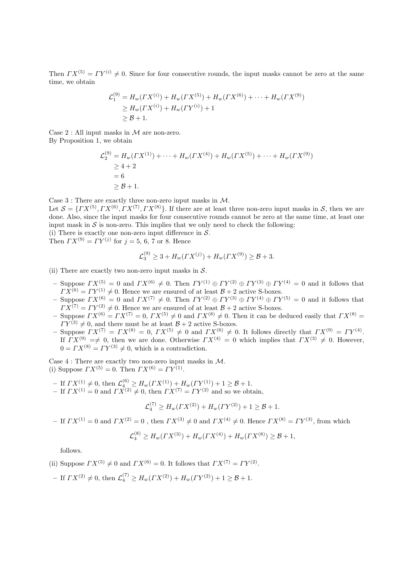Then  $\Gamma X^{(5)} = \Gamma Y^{(i)} \neq 0$ . Since for four consecutive rounds, the input masks cannot be zero at the same time, we obtain

$$
\mathcal{L}_1^{(9)} = H_w(\Gamma X^{(i)}) + H_w(\Gamma X^{(5)}) + H_w(\Gamma X^{(6)}) + \dots + H_w(\Gamma X^{(9)})
$$
  
\n
$$
\geq H_w(\Gamma X^{(i)}) + H_w(\Gamma Y^{(i)}) + 1
$$
  
\n
$$
\geq \mathcal{B} + 1.
$$

Case 2 : All input masks in  $M$  are non-zero. By Proposition 1, we obtain

$$
\mathcal{L}_2^{(9)} = H_w(\Gamma X^{(1)}) + \dots + H_w(\Gamma X^{(4)}) + H_w(\Gamma X^{(5)}) + \dots + H_w(\Gamma X^{(9)})
$$
  
\n
$$
\ge 4 + 2
$$
  
\n
$$
= 6
$$
  
\n
$$
\ge \mathcal{B} + 1.
$$

Case 3 : There are exactly three non-zero input masks in M.

Let  $S = \{TX^{(5)}, TX^{(6)}, TX^{(7)}, TX^{(8)}\}$ . If there are at least three non-zero input masks in S, then we are done. Also, since the input masks for four consecutive rounds cannot be zero at the same time, at least one input mask in  $S$  is non-zero. This implies that we only need to check the following:

(i) There is exactly one non-zero input difference in  $S$ . Then  $\Gamma X^{(9)} = \Gamma Y^{(j)}$  for  $j = 5, 6, 7$  or 8. Hence

$$
\mathcal{L}_3^{(9)} \ge 3 + H_w(\Gamma X^{(j)}) + H_w(\Gamma X^{(9)}) \ge \mathcal{B} + 3.
$$

(ii) There are exactly two non-zero input masks in  $S$ .

- Suppose  $\Gamma X^{(5)} = 0$  and  $\Gamma X^{(6)} \neq 0$ . Then  $\Gamma Y^{(1)} \oplus \Gamma Y^{(2)} \oplus \Gamma Y^{(3)} \oplus \Gamma Y^{(4)} = 0$  and it follows that  $\Gamma X^{(6)} = \Gamma Y^{(1)} \neq 0$ . Hence we are ensured of at least  $\mathcal{B} + 2$  active S-boxes.
- Suppose  $\Gamma X^{(6)} = 0$  and  $\Gamma X^{(7)} \neq 0$ . Then  $\Gamma Y^{(2)} \oplus \Gamma Y^{(3)} \oplus \Gamma Y^{(4)} \oplus \Gamma Y^{(5)} = 0$  and it follows that  $\Gamma X^{(7)} = \Gamma Y^{(2)} \neq 0$ . Hence we are ensured of at least  $\mathcal{B} + 2$  active S-boxes.
- Suppose  $\Gamma X^{(6)} = \Gamma X^{(7)} = 0$ ,  $\Gamma X^{(5)} \neq 0$  and  $\Gamma X^{(8)} \neq 0$ . Then it can be deduced easily that  $\Gamma X^{(8)} =$  $\overline{I}Y^{(3)} \neq 0$ , and there must be at least  $\mathcal{B} + 2$  active S-boxes.
- Suppose  $\Gamma X^{(7)} = \Gamma X^{(8)} = 0$ ,  $\Gamma X^{(5)} \neq 0$  and  $\Gamma X^{(6)} \neq 0$ . It follows directly that  $\Gamma X^{(9)} = \Gamma Y^{(4)}$ . If  $\Gamma X^{(9)} = \neq 0$ , then we are done. Otherwise  $\Gamma X^{(4)} = 0$  which implies that  $\Gamma X^{(3)} \neq 0$ . However,  $0 = \Gamma X^{(8)} = \Gamma Y^{(3)} \neq 0$ , which is a contradiction.

Case 4 : There are exactly two non-zero input masks in M. (i) Suppose  $\Gamma X^{(5)} = 0$ . Then  $\Gamma X^{(6)} = \Gamma Y^{(1)}$ .

- $-$  If  $\Gamma X^{(1)} \neq 0$ , then  $\mathcal{L}_{4}^{(6)} \geq H_w(\Gamma X^{(1)}) + H_w(\Gamma Y^{(1)}) + 1 \geq \mathcal{B} + 1$ .
- If  $\Gamma X^{(1)} = 0$  and  $\Gamma X^{(2)} \neq 0$ , then  $\Gamma X^{(7)} = \Gamma Y^{(2)}$  and so we obtain,

$$
\mathcal{L}_4^{(7)} \ge H_w(\Gamma X^{(2)}) + H_w(\Gamma Y^{(2)}) + 1 \ge \mathcal{B} + 1.
$$

– If  $\Gamma X^{(1)} = 0$  and  $\Gamma X^{(2)} = 0$ , then  $\Gamma X^{(3)} \neq 0$  and  $\Gamma X^{(4)} \neq 0$ . Hence  $\Gamma X^{(8)} = \Gamma Y^{(3)}$ , from which

$$
\mathcal{L}_4^{(8)} \ge H_w(\Gamma X^{(3)}) + H_w(\Gamma X^{(4)}) + H_w(\Gamma X^{(8)}) \ge \mathcal{B} + 1,
$$

follows.

- (ii) Suppose  $\Gamma X^{(5)} \neq 0$  and  $\Gamma X^{(6)} = 0$ . It follows that  $\Gamma X^{(7)} = \Gamma Y^{(2)}$ .
- $-$  If  $\Gamma X^{(2)} \neq 0$ , then  $\mathcal{L}_4^{(7)} \geq H_w(\Gamma X^{(2)}) + H_w(\Gamma Y^{(2)}) + 1 \geq \mathcal{B} + 1$ .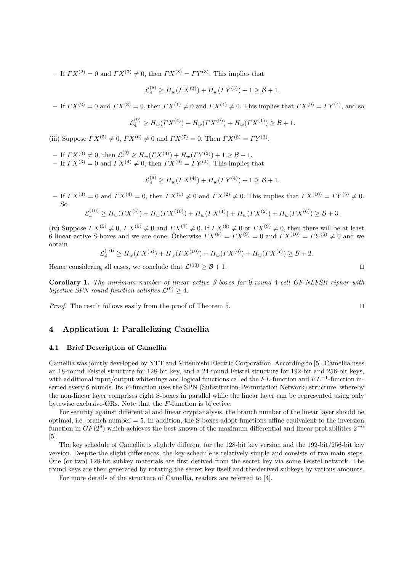– If  $\Gamma X^{(2)} = 0$  and  $\Gamma X^{(3)} \neq 0$ , then  $\Gamma X^{(8)} = \Gamma Y^{(3)}$ . This implies that

$$
\mathcal{L}_4^{(8)} \ge H_w(\Gamma X^{(3)}) + H_w(\Gamma Y^{(3)}) + 1 \ge \mathcal{B} + 1.
$$

– If  $\Gamma X^{(2)} = 0$  and  $\Gamma X^{(3)} = 0$ , then  $\Gamma X^{(1)} \neq 0$  and  $\Gamma X^{(4)} \neq 0$ . This implies that  $\Gamma X^{(9)} = \Gamma Y^{(4)}$ , and so

$$
\mathcal{L}_4^{(9)} \ge H_w(\Gamma X^{(4)}) + H_w(\Gamma X^{(9)}) + H_w(\Gamma X^{(1)}) \ge \mathcal{B} + 1.
$$

(iii) Suppose  $\Gamma X^{(5)} \neq 0$ ,  $\Gamma X^{(6)} \neq 0$  and  $\Gamma X^{(7)} = 0$ . Then  $\Gamma X^{(8)} = \Gamma Y^{(3)}$ .

- $-$  If  $\Gamma X^{(3)} \neq 0$ , then  $\mathcal{L}_4^{(8)} \geq H_w(\Gamma X^{(3)}) + H_w(\Gamma Y^{(3)}) + 1 \geq \mathcal{B} + 1$ .
- If  $\Gamma X^{(3)} = 0$  and  $\Gamma X^{(4)} \neq 0$ , then  $\Gamma X^{(9)} = \Gamma Y^{(4)}$ . This implies that

$$
\mathcal{L}_4^{(9)} \ge H_w(\Gamma X^{(4)}) + H_w(\Gamma Y^{(4)}) + 1 \ge \mathcal{B} + 1.
$$

– If  $\Gamma X^{(3)} = 0$  and  $\Gamma X^{(4)} = 0$ , then  $\Gamma X^{(1)} \neq 0$  and  $\Gamma X^{(2)} \neq 0$ . This implies that  $\Gamma X^{(10)} = \Gamma Y^{(5)} \neq 0$ . So

$$
\mathcal{L}_4^{(10)} \ge H_w(\Gamma X^{(5)}) + H_w(\Gamma X^{(10)}) + H_w(\Gamma X^{(1)}) + H_w(\Gamma X^{(2)}) + H_w(\Gamma X^{(6)}) \ge \mathcal{B} + 3.
$$

(iv) Suppose  $\Gamma X^{(5)} \neq 0$ ,  $\Gamma X^{(6)} \neq 0$  and  $\Gamma X^{(7)} \neq 0$ . If  $\Gamma X^{(8)} \neq 0$  or  $\Gamma X^{(9)} \neq 0$ , then there will be at least 6 linear active S-boxes and we are done. Otherwise  $\Gamma X^{(8)} = \Gamma X^{(9)} = 0$  and  $\Gamma X^{(10)} = \Gamma Y^{(5)} \neq 0$  and we obtain

$$
\mathcal{L}_4^{(10)} \ge H_w(TX^{(5)}) + H_w(TX^{(10)}) + H_w(TX^{(6)}) + H_w(TX^{(7)}) \ge \mathcal{B} + 2.
$$

Hence considering all cases, we conclude that  $\mathcal{L}^{(10)} \geq \mathcal{B} + 1$ .

Corollary 1. The minimum number of linear active S-boxes for 9-round 4-cell GF-NLFSR cipher with bijective SPN round function satisfies  $\mathcal{L}^{(9)} \geq 4$ .

*Proof.* The result follows easily from the proof of Theorem 5.  $\Box$ 

## 4 Application 1: Parallelizing Camellia

### 4.1 Brief Description of Camellia

Camellia was jointly developed by NTT and Mitsubishi Electric Corporation. According to [5], Camellia uses an 18-round Feistel structure for 128-bit key, and a 24-round Feistel structure for 192-bit and 256-bit keys, with additional input/output whitenings and logical functions called the  $FL$ -function and  $FL^{-1}$ -function inserted every 6 rounds. Its F-function uses the SPN (Substitution-Permutation Network) structure, whereby the non-linear layer comprises eight S-boxes in parallel while the linear layer can be represented using only bytewise exclusive-ORs. Note that the F-function is bijective.

For security against differential and linear cryptanalysis, the branch number of the linear layer should be optimal, i.e. branch number = 5. In addition, the S-boxes adopt functions affine equivalent to the inversion function in  $GF(2^8)$  which achieves the best known of the maximum differential and linear probabilities  $2^{-6}$ [5].

The key schedule of Camellia is slightly different for the 128-bit key version and the 192-bit/256-bit key version. Despite the slight differences, the key schedule is relatively simple and consists of two main steps. One (or two) 128-bit subkey materials are first derived from the secret key via some Feistel network. The round keys are then generated by rotating the secret key itself and the derived subkeys by various amounts.

For more details of the structure of Camellia, readers are referred to [4].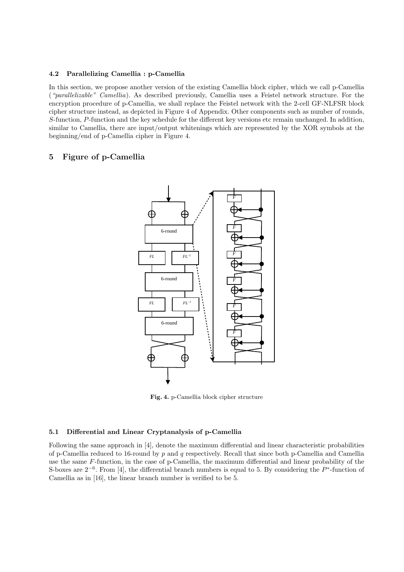### 4.2 Parallelizing Camellia : p-Camellia

In this section, we propose another version of the existing Camellia block cipher, which we call p-Camellia ("parallelizable" Camellia). As described previously, Camellia uses a Feistel network structure. For the encryption procedure of p-Camellia, we shall replace the Feistel network with the 2-cell GF-NLFSR block cipher structure instead, as depicted in Figure 4 of Appendix. Other components such as number of rounds, S-function, P-function and the key schedule for the different key versions etc remain unchanged. In addition, similar to Camellia, there are input/output whitenings which are represented by the XOR symbols at the beginning/end of p-Camellia cipher in Figure 4.

## 5 Figure of p-Camellia



Fig. 4. p-Camellia block cipher structure

## 5.1 Differential and Linear Cryptanalysis of p-Camellia

Following the same approach in [4], denote the maximum differential and linear characteristic probabilities of p-Camellia reduced to 16-round by p and q respectively. Recall that since both p-Camellia and Camellia use the same F-function, in the case of p-Camellia, the maximum differential and linear probability of the S-boxes are  $2^{-6}$ . From [4], the differential branch numbers is equal to 5. By considering the  $P^*$ -function of Camellia as in [16], the linear branch number is verified to be 5.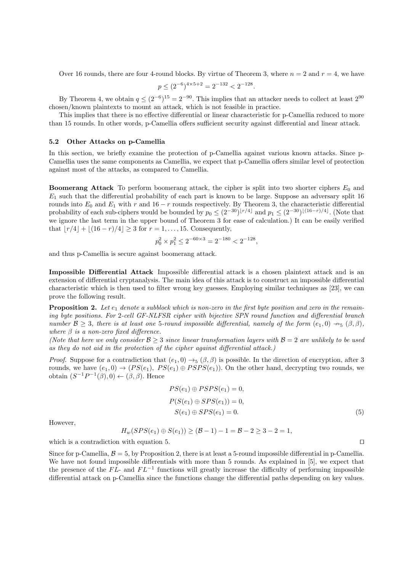Over 16 rounds, there are four 4-round blocks. By virtue of Theorem 3, where  $n = 2$  and  $r = 4$ , we have

$$
p \le (2^{-6})^{4 \times 5 + 2} = 2^{-132} < 2^{-128}.
$$

By Theorem 4, we obtain  $q \leq (2^{-6})^{15} = 2^{-90}$ . This implies that an attacker needs to collect at least  $2^{90}$ chosen/known plaintexts to mount an attack, which is not feasible in practice.

This implies that there is no effective differential or linear characteristic for p-Camellia reduced to more than 15 rounds. In other words, p-Camellia offers sufficient security against differential and linear attack.

#### 5.2 Other Attacks on p-Camellia

In this section, we briefly examine the protection of p-Camellia against various known attacks. Since p-Camellia uses the same components as Camellia, we expect that p-Camellia offers similar level of protection against most of the attacks, as compared to Camellia.

**Boomerang Attack** To perform boomerang attack, the cipher is split into two shorter ciphers  $E_0$  and  $E_1$  such that the differential probability of each part is known to be large. Suppose an adversary split 16 rounds into  $E_0$  and  $E_1$  with r and 16 − r rounds respectively. By Theorem 3, the characteristic differential probability of each sub-ciphers would be bounded by  $p_0 \leq (2^{-30})^{\lfloor r/4 \rfloor}$  and  $p_1 \leq (2^{-30})^{\lfloor (16-r)/4 \rfloor}$ . (Note that we ignore the last term in the upper bound of Theorem 3 for ease of calculation.) It can be easily verified that  $|r/4| + |(16 - r)/4| \geq 3$  for  $r = 1, ..., 15$ . Consequently,

$$
p_0^2 \times p_1^2 \le 2^{-60 \times 3} = 2^{-180} < 2^{-128},
$$

and thus p-Camellia is secure against boomerang attack.

Impossible Differential Attack Impossible differential attack is a chosen plaintext attack and is an extension of differential cryptanalysis. The main idea of this attack is to construct an impossible differential characteristic which is then used to filter wrong key guesses. Employing similar techniques as [23], we can prove the following result.

**Proposition 2.** Let  $e_1$  denote a subblock which is non-zero in the first byte position and zero in the remaining byte positions. For 2-cell GF-NLFSR cipher with bijective SPN round function and differential branch number  $\mathcal{B} > 3$ , there is at least one 5-round impossible differential, namely of the form  $(e_1, 0) \rightarrow_{5} (\beta, \beta)$ , where  $\beta$  is a non-zero fixed difference.

(Note that here we only consider  $\mathcal{B} \geq 3$  since linear transformation layers with  $\mathcal{B} = 2$  are unlikely to be used as they do not aid in the protection of the cipher against differential attack.)

*Proof.* Suppose for a contradiction that  $(e_1, 0) \rightarrow_\sigma (\beta, \beta)$  is possible. In the direction of encryption, after 3 rounds, we have  $(e_1, 0) \rightarrow (PS(e_1), PS(e_1) \oplus PSP(s_1))$ . On the other hand, decrypting two rounds, we obtain  $(S^{-1}P^{-1}(\beta),0) \leftarrow (\beta,\beta)$ . Hence

$$
PS(e_1) \oplus PSPS(e_1) = 0,
$$
  
\n
$$
P(S(e_1) \oplus SPS(e_1)) = 0,
$$
  
\n
$$
S(e_1) \oplus SPS(e_1) = 0.
$$
\n(5)

However,

$$
H_w(SPS(e_1) \oplus S(e_1)) \ge (B-1) - 1 = B - 2 \ge 3 - 2 = 1,
$$

which is a contradiction with equation 5. □

Since for p-Camellia,  $\beta = 5$ , by Proposition 2, there is at least a 5-round impossible differential in p-Camellia. We have not found impossible differentials with more than 5 rounds. As explained in [5], we expect that the presence of the  $FL-$  and  $FL-1$  functions will greatly increase the difficulty of performing impossible differential attack on p-Camellia since the functions change the differential paths depending on key values.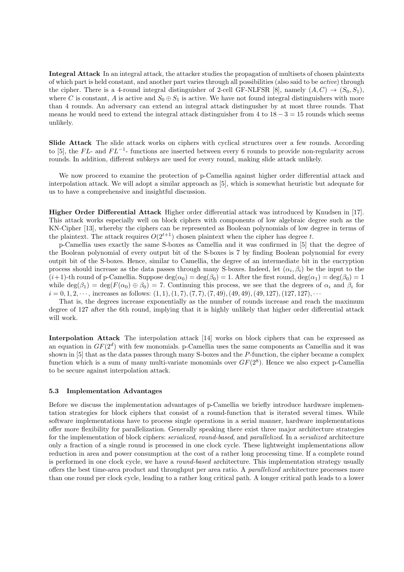Integral Attack In an integral attack, the attacker studies the propagation of multisets of chosen plaintexts of which part is held constant, and another part varies through all possibilities (also said to be active) through the cipher. There is a 4-round integral distinguisher of 2-cell GF-NLFSR [8], namely  $(A, C) \rightarrow (S_0, S_1)$ , where C is constant, A is active and  $S_0 \oplus S_1$  is active. We have not found integral distinguishers with more than 4 rounds. An adversary can extend an integral attack distingusher by at most three rounds. That means he would need to extend the integral attack distinguisher from 4 to  $18 - 3 = 15$  rounds which seems unlikely.

Slide Attack The slide attack works on ciphers with cyclical structures over a few rounds. According to [5], the FL- and  $FL^{-1}$ - functions are inserted between every 6 rounds to provide non-regularity across rounds. In addition, different subkeys are used for every round, making slide attack unlikely.

We now proceed to examine the protection of p-Camellia against higher order differential attack and interpolation attack. We will adopt a similar approach as [5], which is somewhat heuristic but adequate for us to have a comprehensive and insightful discussion.

Higher Order Differential Attack Higher order differential attack was introduced by Knudsen in [17]. This attack works especially well on block ciphers with components of low algebraic degree such as the KN-Cipher [13], whereby the ciphers can be represented as Boolean polynomials of low degree in terms of the plaintext. The attack requires  $O(2^{t+1})$  chosen plaintext when the cipher has degree t.

p-Camellia uses exactly the same S-boxes as Camellia and it was confirmed in [5] that the degree of the Boolean polynomial of every output bit of the S-boxes is 7 by finding Boolean polynomial for every outpit bit of the S-boxes. Hence, similar to Camellia, the degree of an intermediate bit in the encryption process should increase as the data passes through many S-boxes. Indeed, let  $(\alpha_i, \beta_i)$  be the input to the  $(i+1)$ -th round of p-Camellia. Suppose  $\deg(\alpha_0) = \deg(\beta_0) = 1$ . After the first round,  $\deg(\alpha_1) = \deg(\beta_0) = 1$ while  $\deg(\beta_1) = \deg(F(\alpha_0) \oplus \beta_0) = 7$ . Continuing this process, we see that the degrees of  $\alpha_i$  and  $\beta_i$  for  $i = 0, 1, 2, \dots$ , increases as follows:  $(1, 1), (1, 7), (7, 7), (7, 49), (49, 49), (49, 127), (127, 127), \dots$ 

That is, the degrees increase exponentially as the number of rounds increase and reach the maximum degree of 127 after the 6th round, implying that it is highly unlikely that higher order differential attack will work.

Interpolation Attack The interpolation attack [14] works on block ciphers that can be expressed as an equation in  $GF(2^d)$  with few monomials. p-Camellia uses the same components as Camellia and it was shown in [5] that as the data passes through many S-boxes and the P-function, the cipher became a complex function which is a sum of many multi-variate monomials over  $GF(2<sup>8</sup>)$ . Hence we also expect p-Camellia to be secure against interpolation attack.

### 5.3 Implementation Advantages

Before we discuss the implementation advantages of p-Camellia we briefly introduce hardware implementation strategies for block ciphers that consist of a round-function that is iterated several times. While software implementations have to process single operations in a serial manner, hardware implementations offer more flexibility for parallelization. Generally speaking there exist three major architecture strategies for the implementation of block ciphers: *serialized, round-based*, and *parallelized*. In a *serialized* architecture only a fraction of a single round is processed in one clock cycle. These lightweight implementations allow reduction in area and power consumption at the cost of a rather long processing time. If a complete round is performed in one clock cycle, we have a *round-based* architecture. This implementation strategy usually offers the best time-area product and throughput per area ratio. A parallelized architecture processes more than one round per clock cycle, leading to a rather long critical path. A longer critical path leads to a lower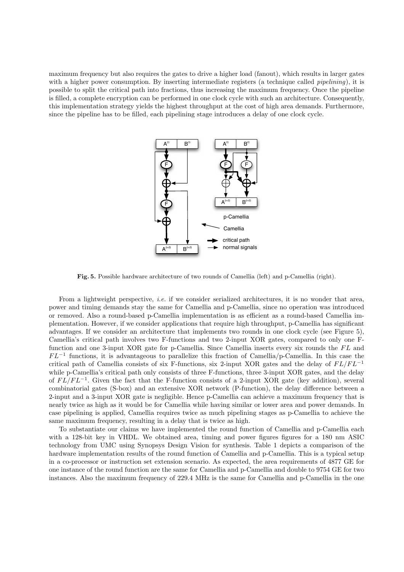maximum frequency but also requires the gates to drive a higher load (fanout), which results in larger gates with a higher power consumption. By inserting intermediate registers (a technique called *pipelining*), it is possible to split the critical path into fractions, thus increasing the maximum frequency. Once the pipeline is filled, a complete encryption can be performed in one clock cycle with such an architecture. Consequently, this implementation strategy yields the highest throughput at the cost of high area demands. Furthermore, since the pipeline has to be filled, each pipelining stage introduces a delay of one clock cycle.



Fig. 5. Possible hardware architecture of two rounds of Camellia (left) and p-Camellia (right).

From a lightweight perspective, *i.e.* if we consider serialized architectures, it is no wonder that area, power and timing demands stay the same for Camellia and p-Camellia, since no operation was introduced or removed. Also a round-based p-Camellia implementation is as efficient as a round-based Camellia implementation. However, if we consider applications that require high throughput, p-Camellia has significant advantages. If we consider an architecture that implements two rounds in one clock cycle (see Figure 5), Camellia's critical path involves two F-functions and two 2-input XOR gates, compared to only one Ffunction and one 3-input XOR gate for p-Camellia. Since Camellia inserts every six rounds the  $FL$  and  $FL^{-1}$  functions, it is advantageous to parallelize this fraction of Camellia/p-Camellia. In this case the critical path of Camellia consists of six F-functions, six 2-input XOR gates and the delay of  $FL/FL^{-1}$ while p-Camellia's critical path only consists of three F-functions, three 3-input XOR gates, and the delay of  $FL/FL^{-1}$ . Given the fact that the F-function consists of a 2-input XOR gate (key addition), several combinatorial gates (S-box) and an extensive XOR network (P-function), the delay difference between a 2-input and a 3-input XOR gate is negligible. Hence p-Camellia can achieve a maximum frequency that is nearly twice as high as it would be for Camellia while having similar or lower area and power demands. In case pipelining is applied, Camellia requires twice as much pipelining stages as p-Camellia to achieve the same maximum frequency, resulting in a delay that is twice as high.

To substantiate our claims we have implemented the round function of Camellia and p-Camellia each with a 128-bit key in VHDL. We obtained area, timing and power figures figures for a 180 nm ASIC technology from UMC using Synopsys Design Vision for synthesis. Table 1 depicts a comparison of the hardware implementation results of the round function of Camellia and p-Camellia. This is a typical setup in a co-processor or instruction set extension scenario. As expected, the area requirements of 4877 GE for one instance of the round function are the same for Camellia and p-Camellia and double to 9754 GE for two instances. Also the maximum frequency of 229.4 MHz is the same for Camellia and p-Camellia in the one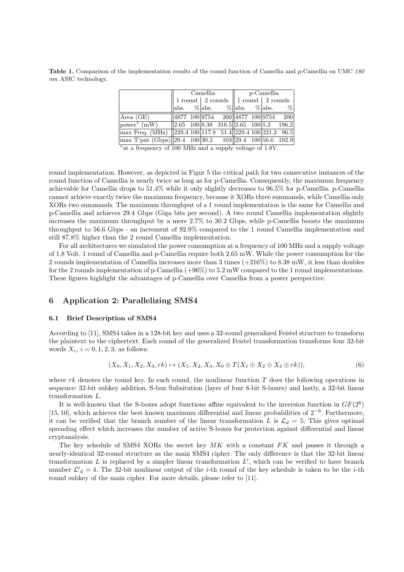Table 1. Comparison of the implementation results of the round function of Camellia and p-Camellia on UMC 180 nm ASIC technology.

|                                                                                                 | Camellia |  |                                                          |                                                     | $\parallel$ p-Camellia |  |  |  |
|-------------------------------------------------------------------------------------------------|----------|--|----------------------------------------------------------|-----------------------------------------------------|------------------------|--|--|--|
|                                                                                                 |          |  | $1$ round $\mid$ 2 rounds $\mid$ 1 round $\mid$ 2 rounds |                                                     |                        |  |  |  |
|                                                                                                 |          |  |                                                          | abs. % abs. % abs. % abs. %                         |                        |  |  |  |
| Area(GE)                                                                                        |          |  |                                                          | $\sqrt{\frac{4877}{100}9754}$ 200 4877 100 9754 200 |                        |  |  |  |
| $\sqrt{power^* (mW)}$                                                                           |          |  |                                                          | $\ 2.65\ 100\ 8.38\ 316.5\ 2.65\ 100\ 5.2\ 196.2$   |                        |  |  |  |
| $\max$ Freq. (MHz) 229.4 100 117.8 51.4 229.4 100 221.2 96.5                                    |          |  |                                                          |                                                     |                        |  |  |  |
| $\frac{\text{max T'put (Gbps)}\left 29.4\right }{29.4\right }$ 100 30.2 103 29.4 100 56.6 192.9 |          |  |                                                          |                                                     |                        |  |  |  |

∗ at a frequency of 100 MHz and a supply voltage of 1.8V.

round implementation. However, as depicted in Figur 5 the critical path for two consecutive instances of the round function of Camellia is nearly twice as long as for p-Camellia. Consequently, the maximum frequency achievable for Camellia drops to 51.4% while it only slightly decreases to 96.5% for p-Camellia. p-Camellia cannot achieve exactly twice the maximum frequency, because it XORs three summands, while Camellia only XORs two summands. The maximum throughput of a 1 round implementation is the same for Camellia and p-Camellia and achieves 29.4 Gbps (Giga bits per second). A two round Camellia implementation slightly increases the maximum throughput by a mere 2.7% to 30.2 Gbps, while p-Camellia boosts the maximum throughput to 56.6 Gbps - an increment of 92.9% compared to the 1 round Camellia implementation and still 87.8% higher than the 2 round Camellia implementation.

For all architectures we simulated the power consumption at a frequency of 100 MHz and a supply voltage of 1.8 Volt. 1 round of Camellia and p-Camellia require both 2.65 mW. While the power consumption for the 2 rounds implementation of Camellia increases more than 3 times (+216%) to 8.38 mW, it less than doubles for the 2 rounds implementation of p-Camellia  $(+96\%)$  to 5.2 mW compared to the 1 round implementations. These figures highlight the advantages of p-Camellia over Camellia from a power perspective.

## 6 Application 2: Parallelizing SMS4

### 6.1 Brief Description of SMS4

According to [11], SMS4 takes in a 128-bit key and uses a 32-round generalized Feistel structure to transform the plaintext to the ciphertext. Each round of the generalized Feistel transformation transforms four 32-bit words  $X_i$ ,  $i = 0, 1, 2, 3$ , as follows:

$$
(X_0, X_1, X_2, X_3, rk) \mapsto (X_1, X_2, X_3, X_0 \oplus T(X_1 \oplus X_2 \oplus X_3 \oplus rk)),
$$
\n(6)

where  $rk$  denotes the round key. In each round, the nonlinear function T does the following operations in sequence: 32-bit subkey addition, S-box Subsitution (layer of four 8-bit S-boxes) and lastly, a 32-bit linear transformation L.

It is well-known that the S-boxes adopt functions affine equivalent to the inversion function in  $GF(2^8)$ [15, 10], which achieves the best known maximum differential and linear probabilities of 2−<sup>6</sup> . Furthermore, it can be verified that the branch number of the linear transformation L is  $\mathcal{L}_d = 5$ . This gives optimal spreading effect which increases the number of active S-boxes for protection against differential and linear cryptanalysis.

The key schedule of SMS4 XORs the secret key  $MK$  with a constant  $FK$  and passes it through a nearly-identical 32-round structure as the main SMS4 cipher. The only difference is that the 32-bit linear transformation  $L$  is replaced by a simpler linear transformation  $L'$ , which can be verified to have branch number  $\mathcal{L}'_d = 4$ . The 32-bit nonlinear output of the *i*-th round of the key schedule is taken to be the *i*-th round subkey of the main cipher. For more details, please refer to [11].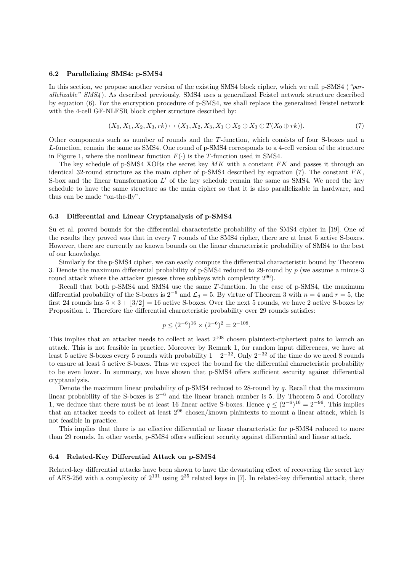#### 6.2 Parallelizing SMS4: p-SMS4

In this section, we propose another version of the existing SMS4 block cipher, which we call p-SMS4 ("parallelizable" SMS4 ). As described previously, SMS4 uses a generalized Feistel network structure described by equation (6). For the encryption procedure of p-SMS4, we shall replace the generalized Feistel network with the 4-cell GF-NLFSR block cipher structure described by:

$$
(X_0, X_1, X_2, X_3, rk) \mapsto (X_1, X_2, X_3, X_1 \oplus X_2 \oplus X_3 \oplus T(X_0 \oplus rk)).
$$
\n(7)

Other components such as number of rounds and the T-function, which consists of four S-boxes and a L-function, remain the same as SMS4. One round of p-SMS4 corresponds to a 4-cell version of the structure in Figure 1, where the nonlinear function  $F(\cdot)$  is the T-function used in SMS4.

The key schedule of p-SMS4 XORs the secret key  $MK$  with a constant  $FK$  and passes it through an identical 32-round structure as the main cipher of p-SMS4 described by equation (7). The constant  $FK$ , S-box and the linear transformation  $L'$  of the key schedule remain the same as SMS4. We need the key schedule to have the same structure as the main cipher so that it is also parallelizable in hardware, and thus can be made "on-the-fly".

#### 6.3 Differential and Linear Cryptanalysis of p-SMS4

Su et al. proved bounds for the differential characteristic probability of the SMS4 cipher in [19]. One of the results they proved was that in every 7 rounds of the SMS4 cipher, there are at least 5 active S-boxes. However, there are currently no known bounds on the linear characteristic probability of SMS4 to the best of our knowledge.

Similarly for the p-SMS4 cipher, we can easily compute the differential characteristic bound by Theorem 3. Denote the maximum differential probability of p-SMS4 reduced to 29-round by p (we assume a minus-3 round attack where the attacker guesses three subkeys with complexity  $2^{96}$ ).

Recall that both p-SMS4 and SMS4 use the same T-function. In the case of p-SMS4, the maximum differential probability of the S-boxes is  $2^{-6}$  and  $\mathcal{L}_d = 5$ . By virtue of Theorem 3 with  $n = 4$  and  $r = 5$ , the first 24 rounds has  $5 \times 3 + |3/2| = 16$  active S-boxes. Over the next 5 rounds, we have 2 active S-boxes by Proposition 1. Therefore the differential characteristic probability over 29 rounds satisfies:

$$
p \le (2^{-6})^{16} \times (2^{-6})^2 = 2^{-108}.
$$

This implies that an attacker needs to collect at least 2<sup>108</sup> chosen plaintext-ciphertext pairs to launch an attack. This is not feasible in practice. Moreover by Remark 1, for random input differences, we have at least 5 active S-boxes every 5 rounds with probability  $1 - 2^{-32}$ . Only  $2^{-32}$  of the time do we need 8 rounds to ensure at least 5 active S-boxes. Thus we expect the bound for the differential characteristic probability to be even lower. In summary, we have shown that p-SMS4 offers sufficient security against differential cryptanalysis.

Denote the maximum linear probability of p-SMS4 reduced to 28-round by q. Recall that the maximum linear probability of the S-boxes is 2<sup>−</sup><sup>6</sup> and the linear branch number is 5. By Theorem 5 and Corollary 1, we deduce that there must be at least 16 linear active S-boxes. Hence  $q \leq (2^{-6})^{16} = 2^{-96}$ . This implies that an attacker needs to collect at least 2<sup>96</sup> chosen/known plaintexts to mount a linear attack, which is not feasible in practice.

This implies that there is no effective differential or linear characteristic for p-SMS4 reduced to more than 29 rounds. In other words, p-SMS4 offers sufficient security against differential and linear attack.

### 6.4 Related-Key Differential Attack on p-SMS4

Related-key differential attacks have been shown to have the devastating effect of recovering the secret key of AES-256 with a complexity of  $2^{131}$  using  $2^{35}$  related keys in [7]. In related-key differential attack, there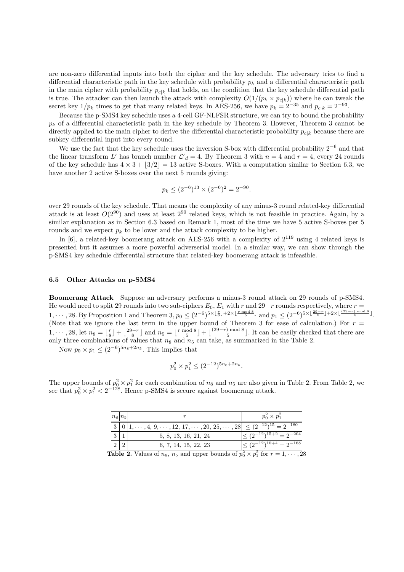are non-zero differential inputs into both the cipher and the key schedule. The adversary tries to find a differential characteristic path in the key schedule with probability  $p_k$  and a differential characteristic path in the main cipher with probability  $p_{c|k}$  that holds, on the condition that the key schedule differential path is true. The attacker can then launch the attack with complexity  $O(1/(p_k \times p_{c|k}))$  where he can tweak the secret key  $1/p_k$  times to get that many related keys. In AES-256, we have  $p_k = 2^{-35}$  and  $p_{c|k} = 2^{-93}$ .

Because the p-SMS4 key schedule uses a 4-cell GF-NLFSR structure, we can try to bound the probability  $p_k$  of a differential characteristic path in the key schedule by Theorem 3. However, Theorem 3 cannot be directly applied to the main cipher to derive the differential characteristic probability  $p_{c|k}$  because there are subkey differential input into every round.

We use the fact that the key schedule uses the inversion S-box with differential probability  $2^{-6}$  and that the linear transform L' has branch number  $\mathcal{L'}_d = 4$ . By Theorem 3 with  $n = 4$  and  $r = 4$ , every 24 rounds of the key schedule has  $4 \times 3 + |3/2| = 13$  active S-boxes. With a computation similar to Section 6.3, we have another 2 active S-boxes over the next 5 rounds giving:

$$
p_k \le (2^{-6})^{13} \times (2^{-6})^2 = 2^{-90}.
$$

over 29 rounds of the key schedule. That means the complexity of any minus-3 round related-key differential attack is at least  $O(2^{90})$  and uses at least  $2^{90}$  related keys, which is not feasible in practice. Again, by a similar explanation as in Section 6.3 based on Remark 1, most of the time we have 5 active S-boxes per 5 rounds and we expect  $p_k$  to be lower and the attack complexity to be higher.

In [6], a related-key boomerang attack on AES-256 with a complexity of  $2^{119}$  using 4 related keys is presented but it assumes a more powerful adverserial model. In a similar way, we can show through the p-SMS4 key schedule differential structure that related-key boomerang attack is infeasible.

### 6.5 Other Attacks on p-SMS4

Boomerang Attack Suppose an adversary performs a minus-3 round attack on 29 rounds of p-SMS4. He would need to split 29 rounds into two sub-ciphers  $E_0$ ,  $E_1$  with r and 29−r rounds respectively, where  $r =$ 1,  $\dots$ , 28. By Proposition 1 and Theorem 3,  $p_0 \leq (2^{-6})^{5 \times \lfloor \frac{r}{8} \rfloor + 2 \times \lfloor \frac{r \mod 8}{5} \rfloor}$  and  $p_1 \leq (2^{-6})^{5 \times \lfloor \frac{29-r}{8} \rfloor + 2 \times \lfloor \frac{(29-r) \mod 8}{5} \rfloor}$ . (Note that we ignore the last term in the upper bound of Theorem 3 for ease of calculation.) For  $r =$ 1,  $\cdots$ , 28, let  $n_8 = \lfloor \frac{r}{8} \rfloor + \lfloor \frac{29-r}{8} \rfloor$  and  $n_5 = \lfloor \frac{r \mod 8}{5} \rfloor + \lfloor \frac{(29-r) \mod 8}{5} \rfloor$  $\frac{5}{5}$ . It can be easily checked that there are only three combinations of values that  $n_8$  and  $n_5$  can take, as summarized in the Table 2.

Now  $p_0 \times p_1 \leq (2^{-6})^{5n_8 + 2n_5}$ . This implies that

$$
p_0^2 \times p_1^2 \le (2^{-12})^{5n_8 + 2n_5}.
$$

The upper bounds of  $p_0^2 \times p_1^2$  for each combination of  $n_8$  and  $n_5$  are also given in Table 2. From Table 2, we see that  $p_0^2 \times p_1^2 < 2^{-128}$ . Hence p-SMS4 is secure against boomerang attack.

| $ n_8 n_5$ |                                                                                                    | $p_0^2 \times p_1^2$               |
|------------|----------------------------------------------------------------------------------------------------|------------------------------------|
|            | $ 3 0 1, \cdots, 4, 9, \cdots, 12, 17, \cdots, 20, 25, \cdots, 28  \leq (2^{-12})^{15} = 2^{-180}$ |                                    |
|            | 5, 8, 13, 16, 21, 24                                                                               | $\leq (2^{-12})^{15+2} = 2^{-204}$ |
|            | 6, 7, 14, 15, 22, 23                                                                               | $\leq (2^{-12})^{10+4} = 2^{-168}$ |

**Table 2.** Values of  $n_8$ ,  $n_5$  and upper bounds of  $p_0^2 \times p_1^2$  for  $r = 1, \dots, 28$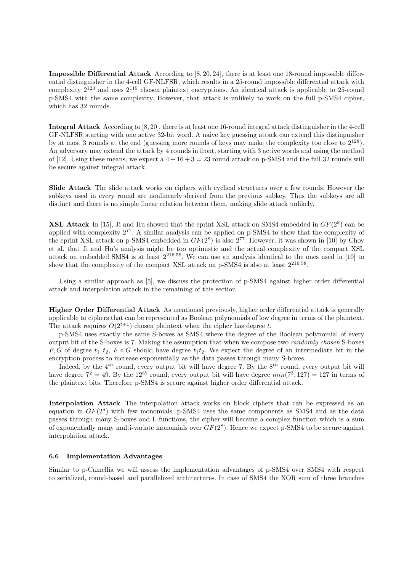Impossible Differential Attack According to [8, 20, 24], there is at least one 18-round impossible differential distinguisher in the 4-cell GF-NLFSR, which results in a 25-round impossible differential attack with complexity  $2^{123}$  and uses  $2^{115}$  chosen plaintext encryptions. An identical attack is applicable to 25-round p-SMS4 with the same complexity. However, that attack is unlikely to work on the full p-SMS4 cipher, which has 32 rounds.

Integral Attack According to [8, 20], there is at least one 16-round integral attack distinguisher in the 4-cell GF-NLFSR starting with one active 32-bit word. A naive key guessing attack can extend this distinguisher by at most 3 rounds at the end (guessing more rounds of keys may make the complexity too close to  $2^{128}$ ). An adversary may extend the attack by 4 rounds in front, starting with 3 active words and using the method of [12]. Using these means, we expect a  $4+16+3=23$  round attack on p-SMS4 and the full 32 rounds will be secure against integral attack.

Slide Attack The slide attack works on ciphers with cyclical structures over a few rounds. However the subkeys used in every round are nonlinearly derived from the previous subkey. Thus the subkeys are all distinct and there is no simple linear relation between them, making slide attack unlikely.

**XSL Attack** In [15], Ji and Hu showed that the eprint XSL attack on SMS4 embedded in  $GF(2^8)$  can be applied with complexity 2<sup>77</sup>. A similar analysis can be applied on p-SMS4 to show that the complexity of the eprint XSL attack on p-SMS4 embedded in  $GF(2^8)$  is also  $2^{77}$ . However, it was shown in [10] by Choy et al. that Ji and Hu's analysis might be too optimistic and the actual complexity of the compact XSL attack on embedded SMS4 is at least 2<sup>216</sup>.<sup>58</sup>. We can use an analysis identical to the ones used in [10] to show that the complexity of the compact XSL attack on p-SMS4 is also at least  $2^{216.58}$ .

Using a similar approach as [5], we discuss the protection of p-SMS4 against higher order differential attack and interpolation attack in the remaining of this section.

Higher Order Differential Attack As mentioned previously, higher order differential attack is generally applicable to ciphers that can be represented as Boolean polynomials of low degree in terms of the plaintext. The attack requires  $O(2^{t+1})$  chosen plaintext when the cipher has degree t.

p-SMS4 uses exactly the same S-boxes as SMS4 where the degree of the Boolean polynomial of every output bit of the S-boxes is 7. Making the assumption that when we compose two randomly chosen S-boxes F, G of degree  $t_1, t_2, F \circ G$  should have degree  $t_1t_2$ . We expect the degree of an intermediate bit in the encryption process to increase exponentially as the data passes through many S-boxes.

Indeed, by the  $4^{th}$  round, every output bit will have degree 7. By the  $8^{th}$  round, every output bit will have degree  $7^2 = 49$ . By the  $12^{th}$  round, every output bit will have degree  $min(7^3, 127) = 127$  in terms of the plaintext bits. Therefore p-SMS4 is secure against higher order differential attack.

Interpolation Attack The interpolation attack works on block ciphers that can be expressed as an equation in  $GF(2^d)$  with few monomials. p-SMS4 uses the same components as SMS4 and as the data passes through many S-boxes and L-functions, the cipher will became a complex function which is a sum of exponentially many multi-variate monomials over  $GF(2^8)$ . Hence we expect p-SMS4 to be secure against interpolation attack.

### 6.6 Implementation Advantages

Similar to p-Camellia we will assess the implementation advantages of p-SMS4 over SMS4 with respect to serialized, round-based and parallelized architectures. In case of SMS4 the XOR sum of three branches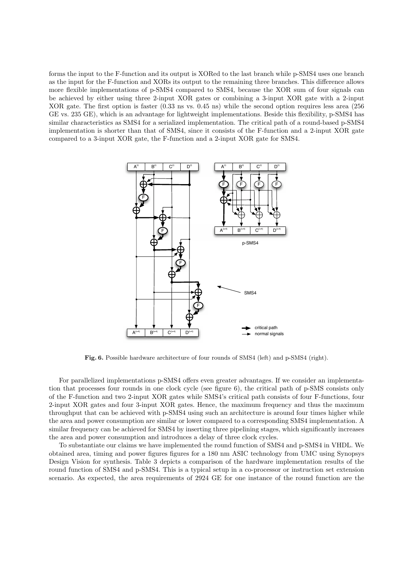forms the input to the F-function and its output is XORed to the last branch while p-SMS4 uses one branch as the input for the F-function and XORs its output to the remaining three branches. This difference allows more flexible implementations of p-SMS4 compared to SMS4, because the XOR sum of four signals can be achieved by either using three 2-input XOR gates or combining a 3-input XOR gate with a 2-input XOR gate. The first option is faster (0.33 ns vs. 0.45 ns) while the second option requires less area (256 GE vs. 235 GE), which is an advantage for lightweight implementations. Beside this flexibility, p-SMS4 has similar characteristics as SMS4 for a serialized implementation. The critical path of a round-based p-SMS4 implementation is shorter than that of SMS4, since it consists of the F-function and a 2-input XOR gate compared to a 3-input XOR gate, the F-function and a 2-input XOR gate for SMS4.



Fig. 6. Possible hardware architecture of four rounds of SMS4 (left) and p-SMS4 (right).

For parallelized implementations p-SMS4 offers even greater advantages. If we consider an implementation that processes four rounds in one clock cycle (see figure 6), the critical path of p-SMS consists only of the F-function and two 2-input XOR gates while SMS4's critical path consists of four F-functions, four 2-input XOR gates and four 3-input XOR gates. Hence, the maximum frequency and thus the maximum throughput that can be achieved with p-SMS4 using such an architecture is around four times higher while the area and power consumption are similar or lower compared to a corresponding SMS4 implementation. A similar frequency can be achieved for SMS4 by inserting three pipelining stages, which significantly increases the area and power consumption and introduces a delay of three clock cycles.

To substantiate our claims we have implemented the round function of SMS4 and p-SMS4 in VHDL. We obtained area, timing and power figures figures for a 180 nm ASIC technology from UMC using Synopsys Design Vision for synthesis. Table 3 depicts a comparison of the hardware implementation results of the round function of SMS4 and p-SMS4. This is a typical setup in a co-processor or instruction set extension scenario. As expected, the area requirements of 2924 GE for one instance of the round function are the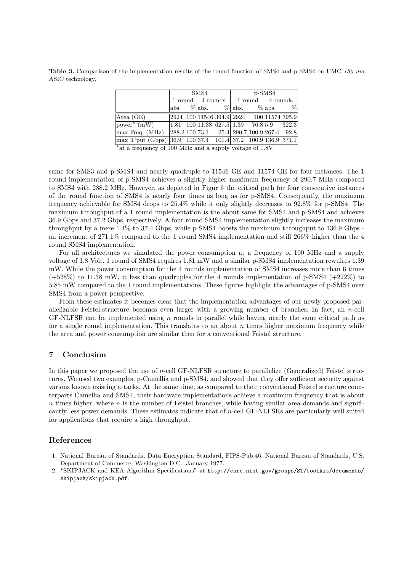Table 3. Comparison of the implementation results of the round function of SMS4 and p-SMS4 on UMC 180 nm ASIC technology.

|                                                                           | $\rm{SMS4}$ |  |                                                                                                                                                                                                                                                                                                                                                                                                              | p-SMS4 |  |  |  |  |
|---------------------------------------------------------------------------|-------------|--|--------------------------------------------------------------------------------------------------------------------------------------------------------------------------------------------------------------------------------------------------------------------------------------------------------------------------------------------------------------------------------------------------------------|--------|--|--|--|--|
|                                                                           |             |  | $1$ round   4 rounds   1 round   4 rounds                                                                                                                                                                                                                                                                                                                                                                    |        |  |  |  |  |
|                                                                           |             |  | $ \text{abs.} \t% \text{abs.} \t% \text{abs.} \t% \text{abs.} \t% \text{abs.} \t% \text{abs.} \t% \text{abs.} \t% \text{abs.} \t% \text{abs.} \t% \text{abs.} \t% \text{abs.} \t% \text{abs.} \t% \text{abs.} \t% \text{abs.} \t% \text{abs.} \t% \text{abs.} \t% \text{abs.} \t% \text{abs.} \t% \text{abs.} \t% \text{abs.} \t% \text{abs.} \t% \text{abs.} \t% \text{abs.} \t% \text{abs.} \t% \text{abs$ |        |  |  |  |  |
| Area(GE)                                                                  |             |  | $\sqrt{\frac{2924}{100}\frac{11546}{11546}\frac{394.9}{2924}}$ $\sqrt{\frac{2924}{100}\frac{11574}{1574}\frac{395.9}{395.9}}$                                                                                                                                                                                                                                                                                |        |  |  |  |  |
| power* (mW)     1.81 100   11.38 627.5     1.39 76.8   5.9 322.3          |             |  |                                                                                                                                                                                                                                                                                                                                                                                                              |        |  |  |  |  |
| $\max$ Freq. (MHz) 288.2 100 73.1 25.4 290.7 100.9 267.4 92.8             |             |  |                                                                                                                                                                                                                                                                                                                                                                                                              |        |  |  |  |  |
| $\frac{1}{2}$ max T'put (Gbps) 36.9 100 37.4 101.4 37.2 100.9 136.9 371.1 |             |  |                                                                                                                                                                                                                                                                                                                                                                                                              |        |  |  |  |  |

\*at a frequency of 100 MHz and a supply voltage of 1.8V.

same for SMS3 and p-SMS4 and nearly quadruple to 11546 GE and 11574 GE for four instances. The 1 round implementation of p-SMS4 achieves a slightly higher maximum frequency of 290.7 MHz compared to SMS4 with 288.2 MHz. However, as depicted in Figur 6 the critical path for four consecutive instances of the round function of SMS4 is nearly four times as long as for p-SMS4. Consequently, the maximum frequency achievable for SMS4 drops to 25.4% while it only slightly decreases to 92.8% for p-SMS4. The maximum throughput of a 1 round implementation is the about same for SMS4 and p-SMS4 and achieves 36.9 Gbps and 37.2 Gbps, respectively. A four round SMS4 implementation slightly increases the maximum throughput by a mere 1.4% to 37.4 Gbps, while p-SMS4 boosts the maximum throughput to 136.9 Gbps an increment of 271.1% compared to the 1 round SMS4 implementation and still 266% higher than the 4 round SMS4 implementation.

For all architectures we simulated the power consumption at a frequency of 100 MHz and a supply voltage of 1.8 Volt. 1 round of SMS4 requires 1.81 mW and a similar p-SMS4 implementation rewuires 1.39 mW. While the power consumption for the 4 rounds implementation of SMS4 increases more than 6 times  $(+528\%)$  to 11.38 mW, it less than quadruples for the 4 rounds implementation of p-SMS4  $(+222\%)$  to 5.85 mW compared to the 1 round implementations. These figures highlight the advantages of p-SMS4 over SMS4 from a power perspective.

From these estimates it becomes clear that the implementation advantages of our newly proposed parallelizable Feistel-structure becomes even larger with a growing number of branches. In fact, an n-cell GF-NLFSR can be implemented using n rounds in parallel while having nearly the same critical path as for a single round implementation. This translates to an about  $n$  times higher maximum frequency while the area and power consumption are similar then for a conventional Feistel structure.

## 7 Conclusion

In this paper we proposed the use of *n*-cell GF-NLFSR structure to parallelize (Generalized) Feistel structures. We used two examples, p-Camellia and p-SMS4, and showed that they offer sufficient security against various known existing attacks. At the same time, as compared to their conventional Feistel structure counterparts Camellia and SMS4, their hardware implementations achieve a maximum frequency that is about  $n$  times higher, where  $n$  is the number of Feistel branches, while having similar area demands and significantly less power demands. These estimates indicate that of n-cell GF-NLFSRs are particularly well suited for applications that require a high throughput.

## References

- 1. National Bureau of Standards, Data Encryption Standard, FIPS-Pub.46. National Bureau of Standards, U.S. Department of Commerce, Washington D.C., January 1977.
- 2. "SKIPJACK and KEA Algorithm Specifications" at http://csrc.nist.gov/groups/ST/toolkit/documents/ skipjack/skipjack.pdf.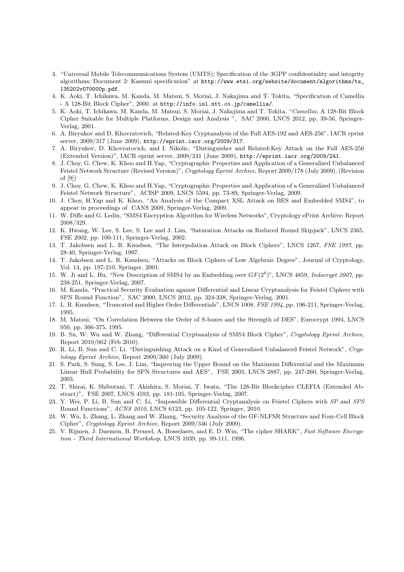- 3. "Universal Mobile Telecommunications System (UMTS); Specification of the 3GPP confidentiality and integrity algorithms; Document 2: Kasumi specification" at http://www.etsi.org/website/document/algorithms/ts\_ 135202v070000p.pdf.
- 4. K. Aoki, T. Ichikawa, M. Kanda, M. Matsui, S. Moriai, J. Nakajima and T. Tokita, "Specification of Camellia - A 128-Bit Block Cipher", 2000. at http://info.isl.ntt.co.jp/camellia/.
- 5. K. Aoki, T. Ichikawa, M. Kanda, M. Matsui, S. Moriai, J. Nakajima and T. Tokita, "Camellia: A 128-Bit Block Cipher Suitable for Multiple Platforms, Design and Analysis ", SAC 2000, LNCS 2012, pp. 39-56, Springer-Verlag, 2001.
- 6. A. Biryukov and D. Khovratovich, "Related-Key Cryptanalysis of the Full AES-192 and AES-256", IACR eprint server, 2009/317 (June 2009), http://eprint.iacr.org/2009/317.
- 7. A. Biryukov, D. Khovratovich, and I. Nikolic, "Distinguisher and Related-Key Attack on the Full AES-256 (Extended Version)", IACR eprint server, 2009/241 (June 2009), http://eprint.iacr.org/2009/241.
- 8. J. Choy, G. Chew, K. Khoo and H.Yap, "Cryptographic Properties and Application of a Generalized Unbalanced Feistel Network Structure (Revised Version)", Cryptology Eprint Archive, Report 2009/178 (July 2009). (Revision of [9])
- 9. J. Choy, G. Chew, K. Khoo and H.Yap, "Cryptographic Properties and Application of a Generalized Unbalanced Feistel Network Structure", ACISP 2009, LNCS 5594, pp. 73-89, Springer-Verlag, 2009.
- 10. J. Choy, H.Yap and K. Khoo, "An Analysis of the Compact XSL Attack on BES and Embedded SMS4", to appear in proceedings of CANS 2009, Springer-Verlag, 2009.
- 11. W. Diffe and G. Ledin, "SMS4 Encryption Algorithm for Wireless Networks", Cryptology ePrint Archive: Report 2008/329.
- 12. K. Hwang, W. Lee, S. Lee, S. Lee and J. Lim, "Saturation Attacks on Reduced Round Skipjack", LNCS 2365, FSE 2002, pp. 100-111, Springer-Verlag, 2002.
- 13. T. Jakobsen and L. R. Knudsen, "The Interpolation Attack on Block Ciphers", LNCS 1267, FSE 1997, pp. 28-40, Springer-Verlag, 1997.
- 14. T. Jakobsen and L. R. Knudsen, "Attacks on Block Ciphers of Low Algebraic Degree", Journal of Cryptology, Vol. 14, pp. 197-210, Springer, 2001.
- 15. W. Ji and L. Hu, "New Description of SMS4 by an Embedding over  $GF(2^8)$ ", LNCS 4859, *Indocrypt 2007*, pp. 238-251, Springer-Verlag, 2007.
- 16. M. Kanda, "Practical Security Evaluation against Differential and Linear Cryptanalysis for Feistel Ciphers with SPN Round Function", SAC 2000, LNCS 2012, pp. 324-338, Springer-Verlag, 2001.
- 17. L. R. Knudsen, "Truncated and Higher Order Differentials", LNCS 1008, FSE 1994, pp. 196-211, Springer-Verlag, 1995.
- 18. M. Matsui, "On Correlation Between the Order of S-boxes and the Strength of DES", Eurocrypt 1994, LNCS 950, pp. 366-375, 1995.
- 19. B. Su, W. Wu and W. Zhang, "Differential Cryptanalysis of SMS4 Block Cipher", Cryptology Eprint Archive, Report 2010/062 (Feb 2010).
- 20. R. Li, B. Sun and C. Li, "Distinguishing Attack on a Kind of Generalized Unbalanced Feistel Network", Cryptology Eprint Archive, Report 2009/360 (July 2009).
- 21. S. Park, S. Sung, S. Lee, J. Lim, "Improving the Upper Bound on the Maximum Differential and the Maximum Linear Hull Probability for SPN Structures and AES", FSE 2003, LNCS 2887, pp. 247-260, Springer-Verlag, 2003.
- 22. T. Shirai, K. Shibutani, T. Akishita, S. Moriai, T. Iwata, "The 128-Bit Blockcipher CLEFIA (Extended Abstract)", FSE 2007, LNCS 4593, pp. 181-195, Springer-Verlag, 2007.
- 23. Y. Wei, P. Li, B. Sun and C. Li, "Impossible Differential Cryptanalysis on Feistel Ciphers with SP and SPS Round Functions", ACNS 2010, LNCS 6123, pp. 105-122, Springer, 2010.
- 24. W. Wu, L. Zhang, L. Zhang and W. Zhang, "Security Analysis of the GF-NLFSR Structure and Four-Cell Block Cipher", Cryptology Eprint Archive, Report 2009/346 (July 2009).
- 25. V. Rijmen, J. Daemon, B. Preneel, A. Bosselaers, and E. D. Win, "The cipher SHARK", Fast Software Encryption - Third International Workshop, LNCS 1039, pp. 99-111, 1996.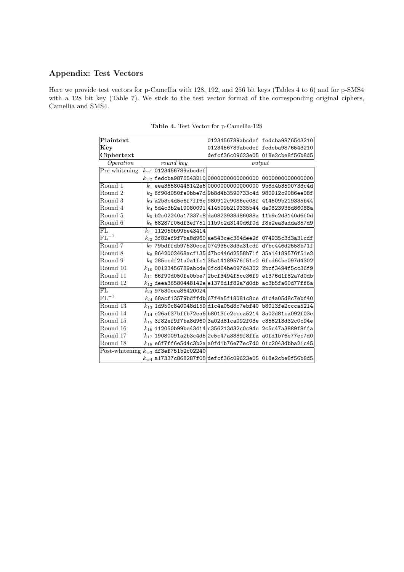# Appendix: Test Vectors

Here we provide test vectors for p-Camellia with 128, 192, and 256 bit keys (Tables 4 to 6) and for p-SMS4 with a 128 bit key (Table 7). We stick to the test vector format of the corresponding original ciphers, Camellia and SMS4.

| Plaintext      |                                          |                                                                | 0123456789abcdef fedcba9876543210                           |  |  |
|----------------|------------------------------------------|----------------------------------------------------------------|-------------------------------------------------------------|--|--|
| Key            |                                          |                                                                | 0123456789abcdef fedcba9876543210                           |  |  |
| Ciphertext     |                                          |                                                                | defcf36c09623e05 018e2cbe8f56b8d5                           |  |  |
| Operation      | round key                                | output                                                         |                                                             |  |  |
| Pre-whitening  | $k_{w1}$ 0123456789abcdef                |                                                                |                                                             |  |  |
|                |                                          | $k_{w2}$ fedcba9876543210 $ 000000000000000$ 00000000000000000 |                                                             |  |  |
| Round 1        |                                          | $k_1$ eea36580448142e6 0000000000000000 9b8d4b3590733c4d       |                                                             |  |  |
| Round 2        |                                          | $k_2$ 6f90d050fe0bbe7d 9b8d4b3590733c4d 980912c9086ee08f       |                                                             |  |  |
| Round 3        |                                          | $k_3$ a2b3c4d5e6f7ff6e 980912c9086ee08f 414509b219335b44       |                                                             |  |  |
| Round 4        |                                          | $k_4$ 5d4c3b2a19080091 414509b219335b44 da0823938d86088a       |                                                             |  |  |
| Round 5        |                                          | $k_5$ b2c02240a17337c8 da0823938d86088a 11b9c2d3140d6f0d       |                                                             |  |  |
| Round 6        |                                          | $k_6$ 68287f05df3ef751 11b9c2d3140d6f0d f8e2ea3adda357d9       |                                                             |  |  |
| FL             | $k_{l1}$ 112050b99be43414                |                                                                |                                                             |  |  |
| $\rm{FL^{-1}}$ |                                          | $k_{l2}$ 3f82ef9f7ba8d960 ae543cec364dee2f_074935c3d3a31cdf    |                                                             |  |  |
| Round 7        |                                          | $k_{7}$ 79bdffdb97530eca 074935c3d3a31cdf d7bc446d2558b71f     |                                                             |  |  |
| Round 8        |                                          | $k_8$ 8642002468acf135 d7bc446d2558b71f 35a14189576f51e2       |                                                             |  |  |
| Round 9        |                                          | $k_9$ 285ccdf21a0a1fc1 35a14189576f51e2 6fcd64be097d4302       |                                                             |  |  |
| Round 10       |                                          | $k_{10}$ 00123456789abcde 6fcd64be097d4302 2bcf3494f5cc36f9    |                                                             |  |  |
| Round 11       |                                          | $k_{11}$ 66f90d050fe0bbe7 2bcf3494f5cc36f9 e1376d1f82a7d0db    |                                                             |  |  |
| Round 12       |                                          | $k_{12}$ deea36580448142e e1376d1f82a7d0db ac3b5fa60d77ff6a    |                                                             |  |  |
| FL             | $k_{13}$ 97530eca86420024                |                                                                |                                                             |  |  |
| $\rm{FL^{-1}}$ |                                          | $k_{14}$ 68acf13579bdffdb 67f4a5f18081c8ce d1c4a05d8c7ebf40    |                                                             |  |  |
| Round 13       |                                          | $k_{13}$ 1d950c840048d159 d1c4a05d8c7ebf40 b8013fe2ccca5214    |                                                             |  |  |
| Round 14       |                                          | $k_{14}$ e26af37bffb72ea6 b8013fe2ccca5214 3a02d81ca092f03e    |                                                             |  |  |
| Round 15       |                                          | $k_{15}$ 3f82ef9f7ba8d960 3a02d81ca092f03e c356213d32c0c94e    |                                                             |  |  |
| Round 16       |                                          | $k_{16}$ 112050b99be43414 c356213d32c0c94e 2c5c47a3889f8ffa    |                                                             |  |  |
| Round 17       |                                          | $k_{17}$ 19080091a2b3c4d5 2c5c47a3889f8ffa a0fd1b76e77ec7d0    |                                                             |  |  |
| Round 18       |                                          | $k_{18}$ e6f7ff6e5d4c3b2a a0fd1b76e77ec7d0_01c2043dbba21c45    |                                                             |  |  |
|                | Post-whitening $k_{w3}$ df3ef751b2c02240 |                                                                |                                                             |  |  |
|                |                                          |                                                                | $k_{w4}$ a17337c868287f05 defcf36c09623e05_018e2cbe8f56b8d5 |  |  |

Table 4. Test Vector for p-Camellia-128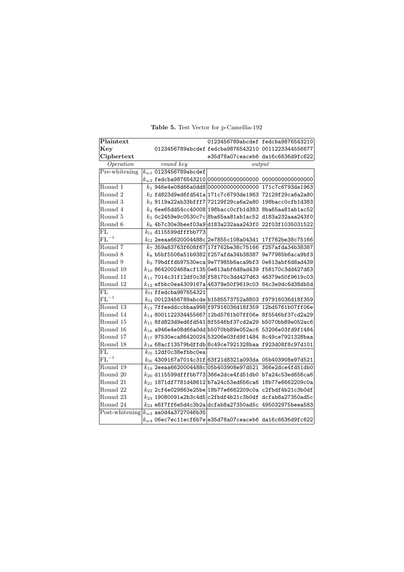| Plaintext      |                              | 0123456789abcdef fedcba9876543210                                          |  |
|----------------|------------------------------|----------------------------------------------------------------------------|--|
| Key            |                              | 0123456789abcdef fedcba9876543210 0011223344556677                         |  |
| Ciphertext     |                              | e35d78a07ceaceb6 da16c6636d9fc622                                          |  |
| Operation      | $round\overline{key}$        | output                                                                     |  |
| Pre-whitening  | $k_{w1}$ 0123456789abcdef    |                                                                            |  |
|                |                              | $k_{w2}$ fedcba9876543210 0000000000000000 00000000000000000               |  |
| Round 1        |                              | $k_1$ 946e4e08d66a0dd8 0000000000000000 171c7c6793de1963                   |  |
| Round 2        |                              | $k_2$ fd823d9ed6fd541a 171c7c6793de1963_72129f29ca6a2a80                   |  |
| Round 3        |                              | $k_3$ 9119a22ab33bfff7 72129f29ca6a2a80 198bacc0cfb1d383                   |  |
| Round 4        |                              | $k_4$ 6ee65dd54cc40008 198bacc0cfb1d383 8ba65aa81ab1ac52                   |  |
| Round 5        |                              | $k_5$ 0c2459e9c0530c7c 8ba65aa81ab1ac52 d183a232aaa243f0                   |  |
| Round 6        |                              | $k_6$ 4b7c30e3beef03a9 d183a232aaa243f0 22f03f1035031522                   |  |
| FL             | $k_{l1}$ d115599dfffbb773    |                                                                            |  |
| $FL^{-1}$      |                              | $k_{l2}$ 2eeaa6620004488c 2e7855c108a043d1 17f762be38c75166                |  |
| Round 7        |                              | $k_7$ 359a83763f608f67 17f762be38c75166 f257afda34b38387                   |  |
| Round 8        |                              | $k_8$ b5bf5506a51b9382 f257afda34b38387 9e77985b6aca9bf3                   |  |
| Round 9        |                              | $k_9$ 79bdffdb97530eca 9e77985b6aca9bf3 0e613abf6d8ad439                   |  |
| Round 10       |                              | $k_{10}$ 8642002468acf135 0e613abf6d8ad439_f58170c3dd427d63                |  |
| Round 11       |                              | $k_{11}$ 7014c31f12df0c38 f58170c3dd427d63 46379e50f9619c03                |  |
| Round 12       |                              | $k_{12}$ efbbc0ea4309167a 46379e50f9619c03_84c3e9dc6d38db5d                |  |
| FL             | $k_{l3}$ ffedcba $987654321$ |                                                                            |  |
| $FL^{-1}$      |                              | $k_{l4}$ 00123456789abcde b1585573752a8803 f97916036d18f359                |  |
| Round 13       |                              | $k_{13}$ 7ffeeddccbbaa998 f97916036d18f359_12bd5761b07ff06e                |  |
| Round 14       |                              | $k_{14}$ 8001122334455667 12bd5761b07ff06e 8f5546bf37cd2a29                |  |
| Round 15       |                              | $k_{15}$ 8fd823d9ed6fd541 8f5546bf37cd2a29 b5070bb89e052ac6                |  |
| Round 16       |                              | $k_{16}$ a946e4e08d66a0dd b5070bb89e052ac6 53206e03fd9f1484                |  |
| Round 17       |                              | $k_{17}$ 97530eca86420024 53206e03fd9f1484 8c49ce7921328baa                |  |
| Round 18       |                              | $k_{18}$ 68acf13579bdffdb $\vert$ 8c49ce7921328baa f923d08f8c97d101        |  |
| FL             | $k_{l5}$ 12df0c38efbbc0ea    |                                                                            |  |
| $\rm{FL}^{-1}$ |                              | $k_{l6}$ 4309167a7014c31f 63f21d8321a093da 05b403908e97d521                |  |
| Round 19       |                              | $\overline{k_{19}}$ 2eeaa6620004488c $ $ 05b403908e97d521 366e2dce4fd51db0 |  |
| Round 20       |                              | $k_{20}$ d115599dfffbb773 $\mid$ 366e2dce4fd51db0 b7a24c53ed656ca6         |  |
| Round 21       |                              | $k_{21}$ 1871df7781d48612 b7a24c53ed656ca6_18b77e6662209c0a                |  |
| Round 22       |                              | $k_{22}$ 2cf4e029863e25be 18b77e6662209c0a c2fbdf4b21c3b0df                |  |
| Round 23       |                              | $k_{23}$ 19080091a2b3c4d5 $ $ c2fbdf4b21c3b0df dcfab8a27350ad5c            |  |
| Round 24       |                              | $k_{24}$ e6f7ff6e5d4c3b2a dcfab8a27350ad5c_495032975beea583                |  |
| Post-whitening | $k_{w3}$ aa0d4a3727046b35    |                                                                            |  |
|                |                              | $k_{w4}$ 06ec7ec11ecf6b7e $ \mathsf{e}$ 35d78a07ceaceb6 da16c6636d9fc622   |  |

Table 5. Test Vector for p-Camellia-192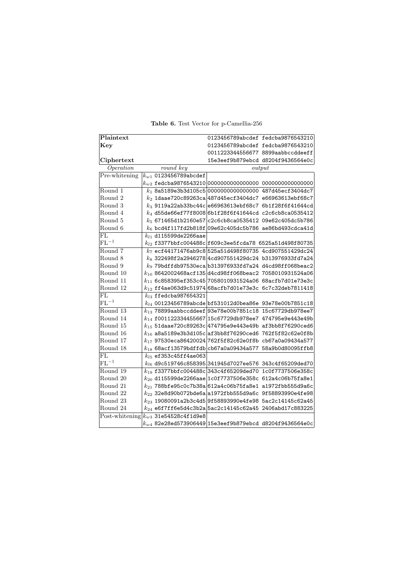| Plaintext                           |                            |                                                                               | 0123456789abcdef fedcba9876543210 |
|-------------------------------------|----------------------------|-------------------------------------------------------------------------------|-----------------------------------|
| Kev                                 |                            |                                                                               | 0123456789abcdef fedcba9876543210 |
|                                     |                            | 0011223344556677 8899aabbccddeeff                                             |                                   |
| Ciphertext                          |                            |                                                                               | 15e3eef9b879ebcd d8204f9436564e0c |
| Operation                           | round key                  |                                                                               | output                            |
| Pre-whitening                       | $k_{w1}$ 0123456789abcdef  |                                                                               |                                   |
|                                     |                            | $k_{w2}$ fedcba9876543210 $\mid$ 0000000000000000 0000000000000000            |                                   |
| Round 1                             |                            | $k_1$ 8a5189e3b3d105c5 0000000000000000 487d45ecf3404dc7                      |                                   |
| Round 2                             |                            | $k_{2}$ 1daae720c89263ca 487d45ecf3404dc7 e66963613ebf68c7                    |                                   |
| Round 3                             |                            | $k_3$ 9119a22ab33bc44c e66963613ebf68c7 6b1f28f6f41644cd                      |                                   |
| Round 4                             |                            | $k_4$ d55de66ef77f8008 6b1f28f6f41644cd c2c6cb8ca0535412                      |                                   |
| Round 5                             |                            | $k_5$ 671465d1b2160e57 c2c6cb8ca0535412 09e62c405dc5b786                      |                                   |
| Round 6                             |                            | $k_6$ bcd4f117fd2b818f 09e62c405dc5b786 ae86bd493cdca41d                      |                                   |
| FL                                  | $k_{l1}$ d115599de2266aae  |                                                                               |                                   |
| $FL^{-1}$                           |                            | $k_{l2}$ f3377bbfc004488c f609c3ee5fcda78 6525a51d498f80735                   |                                   |
| Round 7                             |                            | $k_7$ ecf44171476ab9c8 525a51d498f80735 4cd907551429dc24                      |                                   |
| Round 8                             |                            | $k_8$ 322498f2a2946278 4cd907551429dc24 b313976933fd7a24                      |                                   |
| Round 9                             |                            | $k_9$ 79bdffdb97530eca b313976933fd7a24 d4cd98ff068beac2                      |                                   |
| Round 10                            |                            | $k_{10}$ 8642002468acf135 $ \mathtt{d4cd98ff068}$ beac $2\,$ 7058010931524a06 |                                   |
| Round 11                            |                            | $k_{11}$ 6c858395ef353c45 7058010931524a06 68acfb7d01e73e3c                   |                                   |
| Round 12                            |                            | $k_{12}$ ff4ae063d9c51974 68acfb7d01e73e3c 6c7c32deb7811418                   |                                   |
| FL.                                 | $k_{l,3}$ ffedcba987654321 |                                                                               |                                   |
| $FL^{-1}$                           |                            | $k_{l4}$ 00123456789abcde bf531012d0bea86e 93e78e00b7851c18                   |                                   |
| Round 13                            |                            | $k_{13}$ 78899aabbccddeef 93e78e00b7851c18 15c67729db978ee7                   |                                   |
| Round 14                            |                            | $k_{14}$ f001122334455667 15c67729db978ee7 474795e9e443e49b                   |                                   |
| Round 15                            |                            | $k_{15}$ 51daae720c89263c 474795e9e443e49b af3bb8f76290ced6                   |                                   |
| Round 16                            |                            | $k_{16}$ a8a5189e3b3d105c af3bb8f76290ced6_762f5f82c62e0f8b                   |                                   |
| Round 17                            |                            | $k_{17}$ 97530eca86420024 762f5f82c62e0f8b cb67a0a09434a577                   |                                   |
| Round 18                            |                            | $k_{18}$ 68acf13579bdffdb cb67a0a09434a577 58a9b0d80095ffb8                   |                                   |
| FL.                                 | $k_{15}$ ef353c45ff4ae063  |                                                                               |                                   |
| $FL^{-1}$                           |                            | $k_{l6}$ d9c519746c858395 341945d7027ee576 343c4f65209ded70                   |                                   |
| Round $\overline{19}$               |                            | $k_{19}$ f3377bbfc004488c 343c4f65209ded70 1c0f7737506e358c                   |                                   |
| Round 20                            |                            | $k_{20}$ d115599de2266aae 1c0f7737506e358c 612a4c06b75fa8e1                   |                                   |
| Round 21                            |                            | $k_{21}$ 788bfe95c0c7b38a 612a4c06b75fa8e1 a1972fbb555d9a6c                   |                                   |
| Round 22                            |                            | $k_{22}$ 32e8d90b072bde6a a1972fbb555d9a6c 9f58893990e4fe98                   |                                   |
| Round 23                            |                            | $k_{23}$ 19080091a2b3c4d5 9f58893990e4fe98 5ac2c14145c62a45                   |                                   |
| Round 24                            |                            | $k_{24}$ e6f7ff6e5d4c3b2a 5ac2c14145c62a45 2406abd17c883225                   |                                   |
| $\overline{\text{Post}}$ -whitening | $k_{w3}$ 31e54528c4f1d9e8  |                                                                               |                                   |
|                                     |                            | $k_{w4}$ 82e28ed573906449 $\vert$ 15e3eef9b879ebcd d8204f9436564e0c           |                                   |

Table 6. Test Vector for p-Camellia-256